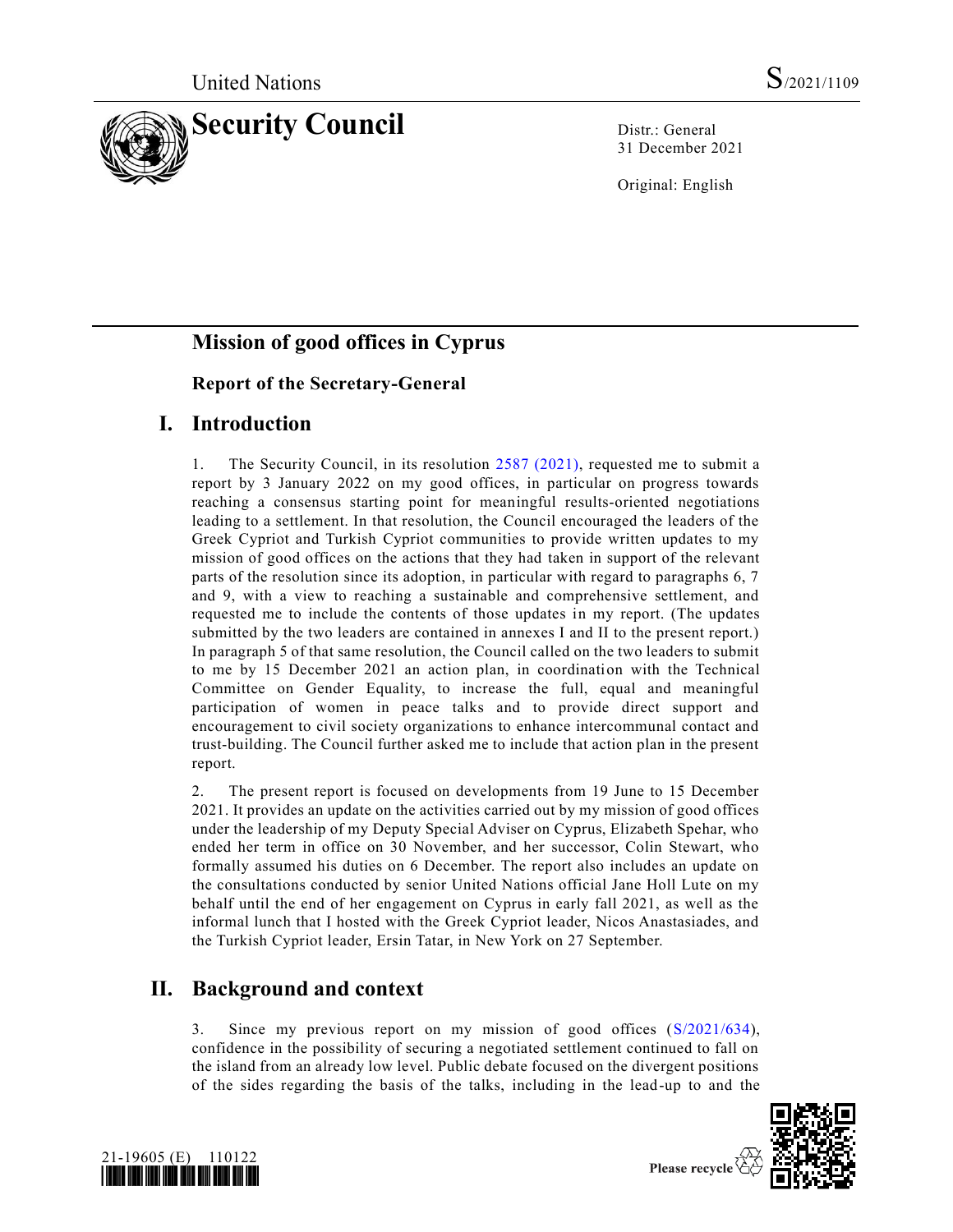

31 December 2021

Original: English

# **Mission of good offices in Cyprus**

# **Report of the Secretary-General**

# **I. Introduction**

1. The Security Council, in its resolution [2587 \(2021\),](https://undocs.org/en/S/RES/2587(2021)) requested me to submit a report by 3 January 2022 on my good offices, in particular on progress towards reaching a consensus starting point for meaningful results-oriented negotiations leading to a settlement. In that resolution, the Council encouraged the leaders of the Greek Cypriot and Turkish Cypriot communities to provide written updates to my mission of good offices on the actions that they had taken in support of the relevant parts of the resolution since its adoption, in particular with regard to paragraphs 6, 7 and 9, with a view to reaching a sustainable and comprehensive settlement, and requested me to include the contents of those updates in my report. (The updates submitted by the two leaders are contained in annexes I and II to the present report.) In paragraph 5 of that same resolution, the Council called on the two leaders to submit to me by 15 December 2021 an action plan, in coordination with the Technical Committee on Gender Equality, to increase the full, equal and meaningful participation of women in peace talks and to provide direct support and encouragement to civil society organizations to enhance intercommunal contact and trust-building. The Council further asked me to include that action plan in the present report.

2. The present report is focused on developments from 19 June to 15 December 2021. It provides an update on the activities carried out by my mission of good offices under the leadership of my Deputy Special Adviser on Cyprus, Elizabeth Spehar, who ended her term in office on 30 November, and her successor, Colin Stewart, who formally assumed his duties on 6 December. The report also includes an update on the consultations conducted by senior United Nations official Jane Holl Lute on my behalf until the end of her engagement on Cyprus in early fall 2021, as well as the informal lunch that I hosted with the Greek Cypriot leader, Nicos Anastasiades, and the Turkish Cypriot leader, Ersin Tatar, in New York on 27 September.

# **II. Background and context**

3. Since my previous report on my mission of good offices [\(S/2021/634\)](https://undocs.org/en/S/2021/634), confidence in the possibility of securing a negotiated settlement continued to fall on the island from an already low level. Public debate focused on the divergent positions of the sides regarding the basis of the talks, including in the lead-up to and the



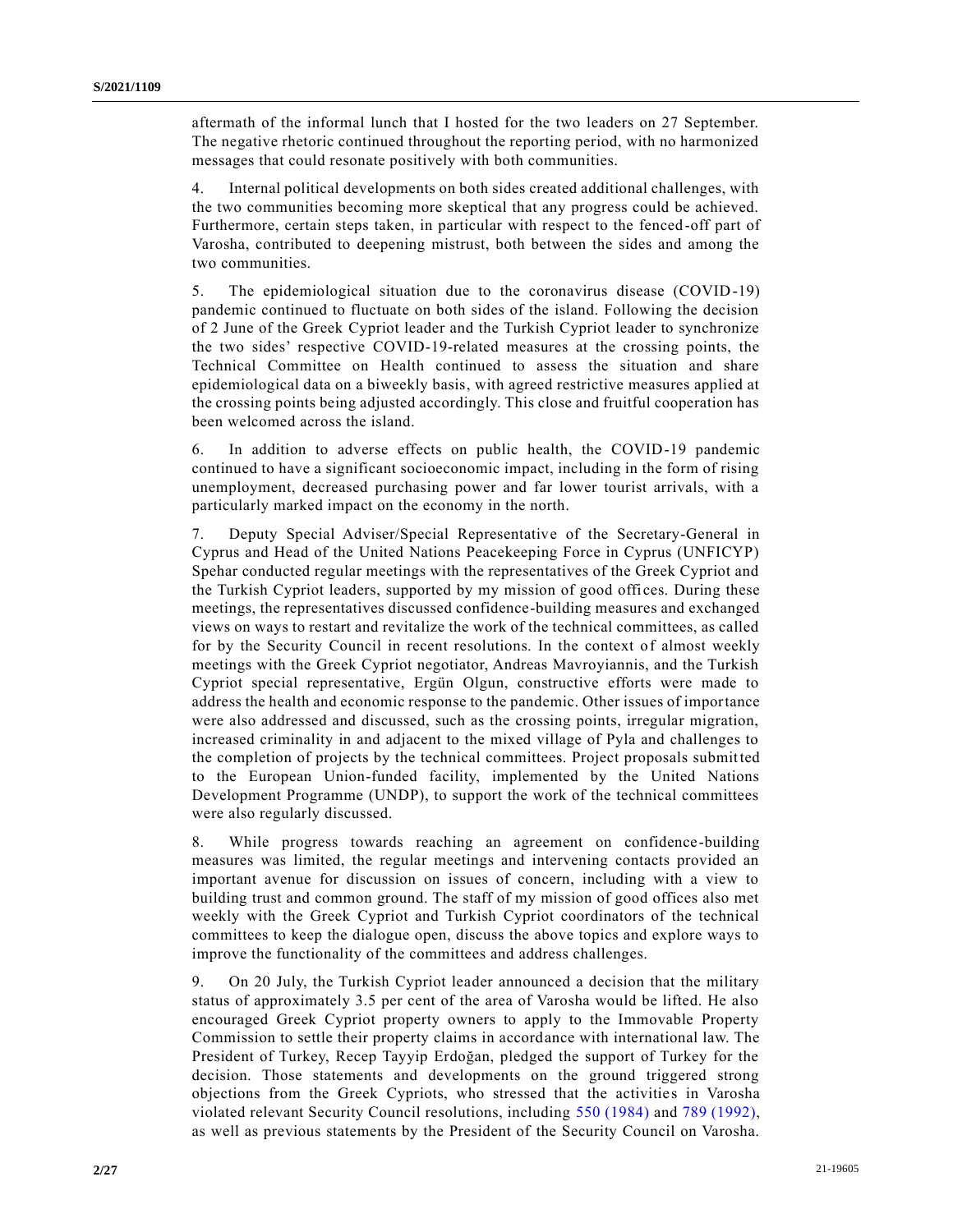aftermath of the informal lunch that I hosted for the two leaders on 27 September. The negative rhetoric continued throughout the reporting period, with no harmonized messages that could resonate positively with both communities.

4. Internal political developments on both sides created additional challenges, with the two communities becoming more skeptical that any progress could be achieved. Furthermore, certain steps taken, in particular with respect to the fenced-off part of Varosha, contributed to deepening mistrust, both between the sides and among the two communities.

5. The epidemiological situation due to the coronavirus disease (COVID-19) pandemic continued to fluctuate on both sides of the island. Following the decision of 2 June of the Greek Cypriot leader and the Turkish Cypriot leader to synchronize the two sides' respective COVID-19-related measures at the crossing points, the Technical Committee on Health continued to assess the situation and share epidemiological data on a biweekly basis, with agreed restrictive measures applied at the crossing points being adjusted accordingly. This close and fruitful cooperation has been welcomed across the island.

6. In addition to adverse effects on public health, the COVID-19 pandemic continued to have a significant socioeconomic impact, including in the form of rising unemployment, decreased purchasing power and far lower tourist arrivals, with a particularly marked impact on the economy in the north.

7. Deputy Special Adviser/Special Representative of the Secretary-General in Cyprus and Head of the United Nations Peacekeeping Force in Cyprus (UNFICYP) Spehar conducted regular meetings with the representatives of the Greek Cypriot and the Turkish Cypriot leaders, supported by my mission of good offices. During these meetings, the representatives discussed confidence-building measures and exchanged views on ways to restart and revitalize the work of the technical committees, as called for by the Security Council in recent resolutions. In the context of almost weekly meetings with the Greek Cypriot negotiator, Andreas Mavroyiannis, and the Turkish Cypriot special representative, Ergün Olgun, constructive efforts were made to address the health and economic response to the pandemic. Other issues of importance were also addressed and discussed, such as the crossing points, irregular migration, increased criminality in and adjacent to the mixed village of Pyla and challenges to the completion of projects by the technical committees. Project proposals submitted to the European Union-funded facility, implemented by the United Nations Development Programme (UNDP), to support the work of the technical committees were also regularly discussed.

8. While progress towards reaching an agreement on confidence-building measures was limited, the regular meetings and intervening contacts provided an important avenue for discussion on issues of concern, including with a view to building trust and common ground. The staff of my mission of good offices also met weekly with the Greek Cypriot and Turkish Cypriot coordinators of the technical committees to keep the dialogue open, discuss the above topics and explore ways to improve the functionality of the committees and address challenges.

9. On 20 July, the Turkish Cypriot leader announced a decision that the military status of approximately 3.5 per cent of the area of Varosha would be lifted. He also encouraged Greek Cypriot property owners to apply to the Immovable Property Commission to settle their property claims in accordance with international law. The President of Turkey, Recep Tayyip Erdoğan, pledged the support of Turkey for the decision. Those statements and developments on the ground triggered strong objections from the Greek Cypriots, who stressed that the activities in Varosha violated relevant Security Council resolutions, including [550 \(1984\)](https://undocs.org/en/S/RES/550(1984)) and [789 \(1992\),](https://undocs.org/en/S/RES/789(1992)) as well as previous statements by the President of the Security Council on Varosha.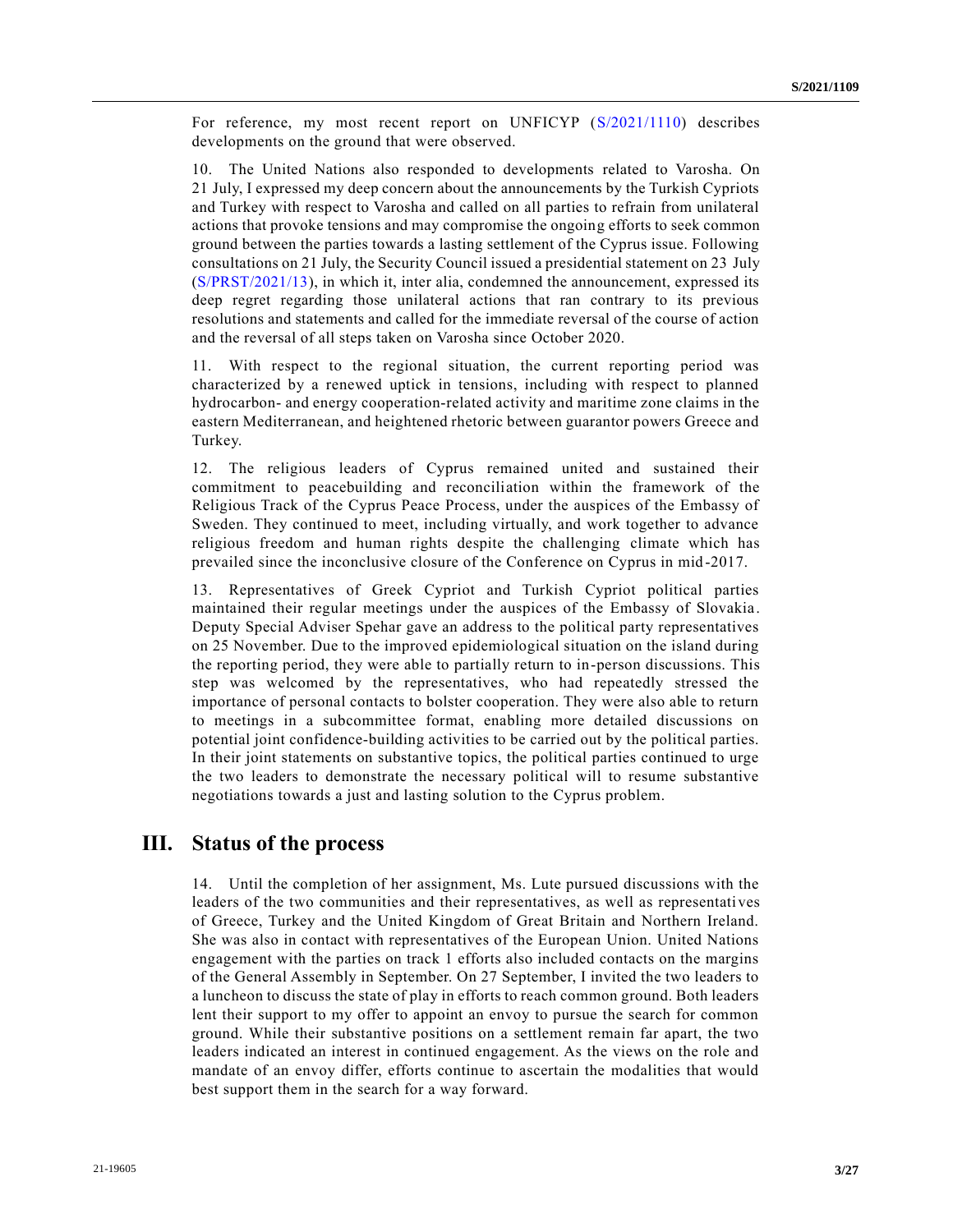For reference, my most recent report on UNFICYP [\(S/2021/1110\)](https://undocs.org/en/S/2021/1110) describes developments on the ground that were observed.

10. The United Nations also responded to developments related to Varosha. On 21 July, I expressed my deep concern about the announcements by the Turkish Cypriots and Turkey with respect to Varosha and called on all parties to refrain from unilateral actions that provoke tensions and may compromise the ongoing efforts to seek common ground between the parties towards a lasting settlement of the Cyprus issue. Following consultations on 21 July, the Security Council issued a presidential statement on 23 July [\(S/PRST/2021/13\)](https://undocs.org/en/S/PRST/2021/13), in which it, inter alia, condemned the announcement, expressed its deep regret regarding those unilateral actions that ran contrary to its previous resolutions and statements and called for the immediate reversal of the course of action and the reversal of all steps taken on Varosha since October 2020.

11. With respect to the regional situation, the current reporting period was characterized by a renewed uptick in tensions, including with respect to planned hydrocarbon- and energy cooperation-related activity and maritime zone claims in the eastern Mediterranean, and heightened rhetoric between guarantor powers Greece and Turkey.

12. The religious leaders of Cyprus remained united and sustained their commitment to peacebuilding and reconciliation within the framework of the Religious Track of the Cyprus Peace Process, under the auspices of the Embassy of Sweden. They continued to meet, including virtually, and work together to advance religious freedom and human rights despite the challenging climate which has prevailed since the inconclusive closure of the Conference on Cyprus in mid -2017.

13. Representatives of Greek Cypriot and Turkish Cypriot political parties maintained their regular meetings under the auspices of the Embassy of Slovakia . Deputy Special Adviser Spehar gave an address to the political party representatives on 25 November. Due to the improved epidemiological situation on the island during the reporting period, they were able to partially return to in-person discussions. This step was welcomed by the representatives, who had repeatedly stressed the importance of personal contacts to bolster cooperation. They were also able to return to meetings in a subcommittee format, enabling more detailed discussions on potential joint confidence-building activities to be carried out by the political parties. In their joint statements on substantive topics, the political parties continued to urge the two leaders to demonstrate the necessary political will to resume substantive negotiations towards a just and lasting solution to the Cyprus problem.

## **III. Status of the process**

14. Until the completion of her assignment, Ms. Lute pursued discussions with the leaders of the two communities and their representatives, as well as representatives of Greece, Turkey and the United Kingdom of Great Britain and Northern Ireland. She was also in contact with representatives of the European Union. United Nations engagement with the parties on track 1 efforts also included contacts on the margins of the General Assembly in September. On 27 September, I invited the two leaders to a luncheon to discuss the state of play in efforts to reach common ground. Both leaders lent their support to my offer to appoint an envoy to pursue the search for common ground. While their substantive positions on a settlement remain far apart, the two leaders indicated an interest in continued engagement. As the views on the role and mandate of an envoy differ, efforts continue to ascertain the modalities that would best support them in the search for a way forward.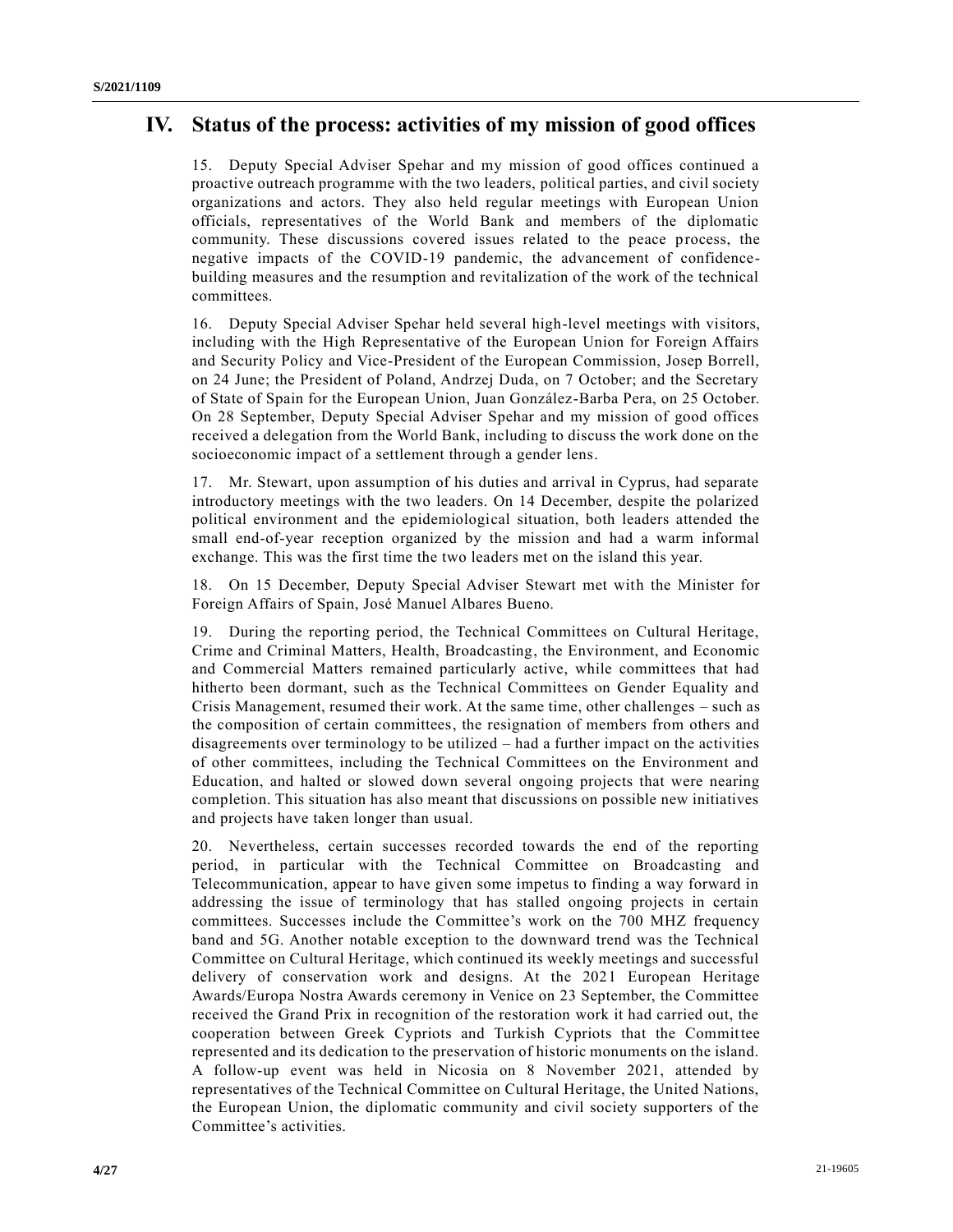# **IV. Status of the process: activities of my mission of good offices**

15. Deputy Special Adviser Spehar and my mission of good offices continued a proactive outreach programme with the two leaders, political parties, and civil society organizations and actors. They also held regular meetings with European Union officials, representatives of the World Bank and members of the diplomatic community. These discussions covered issues related to the peace process, the negative impacts of the COVID-19 pandemic, the advancement of confidencebuilding measures and the resumption and revitalization of the work of the technical committees.

16. Deputy Special Adviser Spehar held several high-level meetings with visitors, including with the High Representative of the European Union for Foreign Affairs and Security Policy and Vice-President of the European Commission, Josep Borrell, on 24 June; the President of Poland, Andrzej Duda, on 7 October; and the Secretary of State of Spain for the European Union, Juan González-Barba Pera, on 25 October. On 28 September, Deputy Special Adviser Spehar and my mission of good offices received a delegation from the World Bank, including to discuss the work done on the socioeconomic impact of a settlement through a gender lens.

17. Mr. Stewart, upon assumption of his duties and arrival in Cyprus, had separate introductory meetings with the two leaders. On 14 December, despite the polarized political environment and the epidemiological situation, both leaders attended the small end-of-year reception organized by the mission and had a warm informal exchange. This was the first time the two leaders met on the island this year.

18. On 15 December, Deputy Special Adviser Stewart met with the Minister for Foreign Affairs of Spain, José Manuel Albares Bueno.

19. During the reporting period, the Technical Committees on Cultural Heritage, Crime and Criminal Matters, Health, Broadcasting, the Environment, and Economic and Commercial Matters remained particularly active, while committees that had hitherto been dormant, such as the Technical Committees on Gender Equality and Crisis Management, resumed their work. At the same time, other challenges – such as the composition of certain committees, the resignation of members from others and disagreements over terminology to be utilized – had a further impact on the activities of other committees, including the Technical Committees on the Environment and Education, and halted or slowed down several ongoing projects that were nearing completion. This situation has also meant that discussions on possible new initiatives and projects have taken longer than usual.

20. Nevertheless, certain successes recorded towards the end of the reporting period, in particular with the Technical Committee on Broadcasting and Telecommunication, appear to have given some impetus to finding a way forward in addressing the issue of terminology that has stalled ongoing projects in certain committees. Successes include the Committee's work on the 700 MHZ frequency band and 5G. Another notable exception to the downward trend was the Technical Committee on Cultural Heritage, which continued its weekly meetings and successful delivery of conservation work and designs. At the 2021 European Heritage Awards/Europa Nostra Awards ceremony in Venice on 23 September, the Committee received the Grand Prix in recognition of the restoration work it had carried out, the cooperation between Greek Cypriots and Turkish Cypriots that the Committee represented and its dedication to the preservation of historic monuments on the island. A follow-up event was held in Nicosia on 8 November 2021, attended by representatives of the Technical Committee on Cultural Heritage, the United Nations, the European Union, the diplomatic community and civil society supporters of the Committee's activities.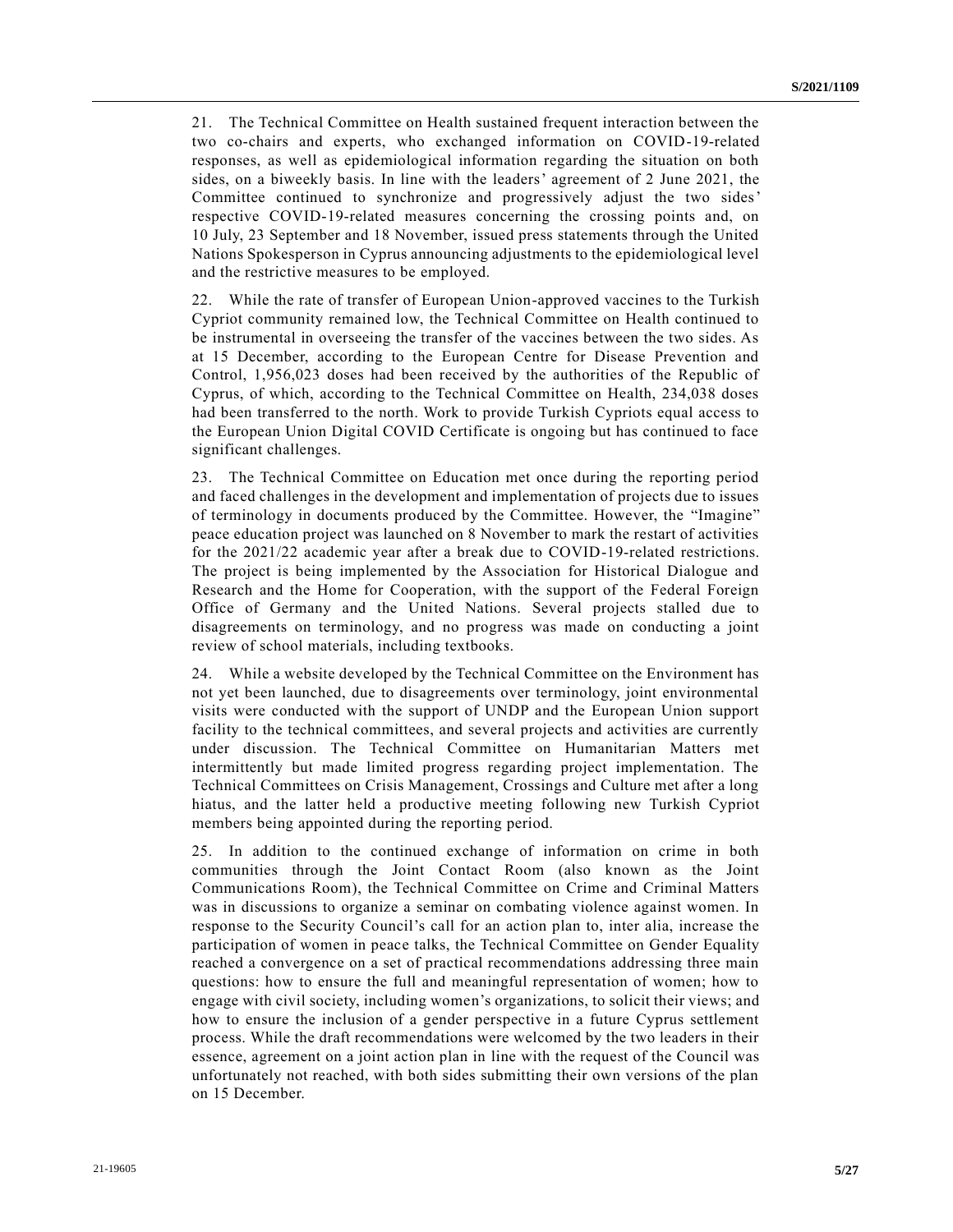21. The Technical Committee on Health sustained frequent interaction between the two co-chairs and experts, who exchanged information on COVID-19-related responses, as well as epidemiological information regarding the situation on both sides, on a biweekly basis. In line with the leaders' agreement of 2 June 2021, the Committee continued to synchronize and progressively adjust the two sides' respective COVID-19-related measures concerning the crossing points and, on 10 July, 23 September and 18 November, issued press statements through the United Nations Spokesperson in Cyprus announcing adjustments to the epidemiological level and the restrictive measures to be employed.

22. While the rate of transfer of European Union-approved vaccines to the Turkish Cypriot community remained low, the Technical Committee on Health continued to be instrumental in overseeing the transfer of the vaccines between the two sides. As at 15 December, according to the European Centre for Disease Prevention and Control, 1,956,023 doses had been received by the authorities of the Republic of Cyprus, of which, according to the Technical Committee on Health, 234,038 doses had been transferred to the north. Work to provide Turkish Cypriots equal access to the European Union Digital COVID Certificate is ongoing but has continued to face significant challenges.

23. The Technical Committee on Education met once during the reporting period and faced challenges in the development and implementation of projects due to issues of terminology in documents produced by the Committee. However, the "Imagine" peace education project was launched on 8 November to mark the restart of activities for the 2021/22 academic year after a break due to COVID-19-related restrictions. The project is being implemented by the Association for Historical Dialogue and Research and the Home for Cooperation, with the support of the Federal Foreign Office of Germany and the United Nations. Several projects stalled due to disagreements on terminology, and no progress was made on conducting a joint review of school materials, including textbooks.

24. While a website developed by the Technical Committee on the Environment has not yet been launched, due to disagreements over terminology, joint environmental visits were conducted with the support of UNDP and the European Union support facility to the technical committees, and several projects and activities are currently under discussion. The Technical Committee on Humanitarian Matters met intermittently but made limited progress regarding project implementation. The Technical Committees on Crisis Management, Crossings and Culture met after a long hiatus, and the latter held a productive meeting following new Turkish Cypriot members being appointed during the reporting period.

25. In addition to the continued exchange of information on crime in both communities through the Joint Contact Room (also known as the Joint Communications Room), the Technical Committee on Crime and Criminal Matters was in discussions to organize a seminar on combating violence against women. In response to the Security Council's call for an action plan to, inter alia, increase the participation of women in peace talks, the Technical Committee on Gender Equality reached a convergence on a set of practical recommendations addressing three main questions: how to ensure the full and meaningful representation of women; how to engage with civil society, including women's organizations, to solicit their views; and how to ensure the inclusion of a gender perspective in a future Cyprus settlement process. While the draft recommendations were welcomed by the two leaders in their essence, agreement on a joint action plan in line with the request of the Council was unfortunately not reached, with both sides submitting their own versions of the plan on 15 December.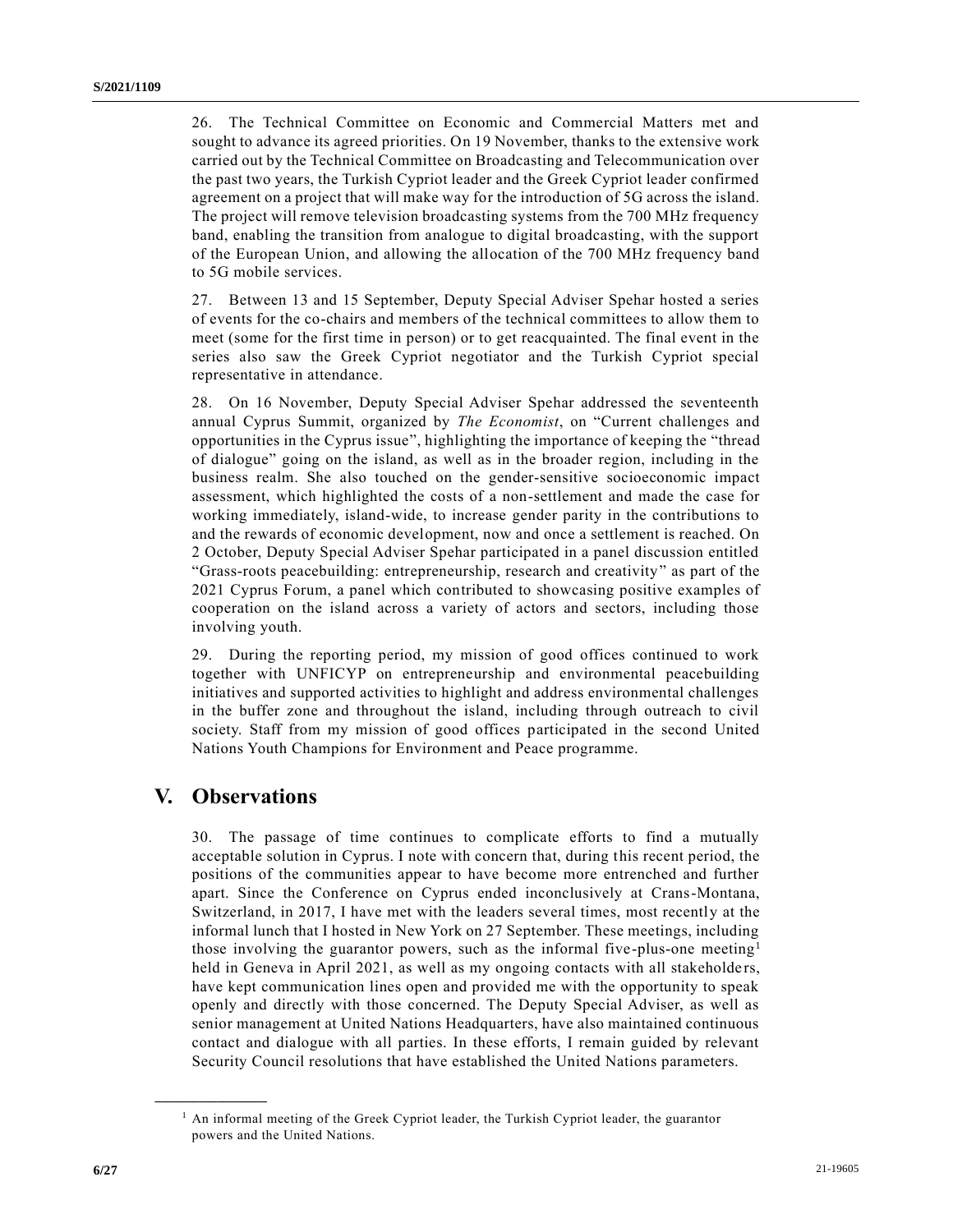26. The Technical Committee on Economic and Commercial Matters met and sought to advance its agreed priorities. On 19 November, thanks to the extensive work carried out by the Technical Committee on Broadcasting and Telecommunication over the past two years, the Turkish Cypriot leader and the Greek Cypriot leader confirmed agreement on a project that will make way for the introduction of 5G across the island. The project will remove television broadcasting systems from the 700 MHz frequency band, enabling the transition from analogue to digital broadcasting, with the support of the European Union, and allowing the allocation of the 700 MHz frequency band to 5G mobile services.

27. Between 13 and 15 September, Deputy Special Adviser Spehar hosted a series of events for the co-chairs and members of the technical committees to allow them to meet (some for the first time in person) or to get reacquainted. The final event in the series also saw the Greek Cypriot negotiator and the Turkish Cypriot special representative in attendance.

28. On 16 November, Deputy Special Adviser Spehar addressed the seventeenth annual Cyprus Summit, organized by *The Economist*, on "Current challenges and opportunities in the Cyprus issue", highlighting the importance of keeping the "thread of dialogue" going on the island, as well as in the broader region, including in the business realm. She also touched on the gender-sensitive socioeconomic impact assessment, which highlighted the costs of a non-settlement and made the case for working immediately, island-wide, to increase gender parity in the contributions to and the rewards of economic development, now and once a settlement is reached. On 2 October, Deputy Special Adviser Spehar participated in a panel discussion entitled "Grass-roots peacebuilding: entrepreneurship, research and creativity" as part of the 2021 Cyprus Forum, a panel which contributed to showcasing positive examples of cooperation on the island across a variety of actors and sectors, including those involving youth.

29. During the reporting period, my mission of good offices continued to work together with UNFICYP on entrepreneurship and environmental peacebuilding initiatives and supported activities to highlight and address environmental challenges in the buffer zone and throughout the island, including through outreach to civil society. Staff from my mission of good offices participated in the second United Nations Youth Champions for Environment and Peace programme.

## **V. Observations**

**\_\_\_\_\_\_\_\_\_\_\_\_\_\_\_\_\_\_**

30. The passage of time continues to complicate efforts to find a mutually acceptable solution in Cyprus. I note with concern that, during this recent period, the positions of the communities appear to have become more entrenched and further apart. Since the Conference on Cyprus ended inconclusively at Crans-Montana, Switzerland, in 2017, I have met with the leaders several times, most recently at the informal lunch that I hosted in New York on 27 September. These meetings, including those involving the guarantor powers, such as the informal five-plus-one meeting<sup>1</sup> held in Geneva in April 2021, as well as my ongoing contacts with all stakeholders, have kept communication lines open and provided me with the opportunity to speak openly and directly with those concerned. The Deputy Special Adviser, as well as senior management at United Nations Headquarters, have also maintained continuous contact and dialogue with all parties. In these efforts, I remain guided by relevant Security Council resolutions that have established the United Nations parameters.

<sup>&</sup>lt;sup>1</sup> An informal meeting of the Greek Cypriot leader, the Turkish Cypriot leader, the guarantor powers and the United Nations.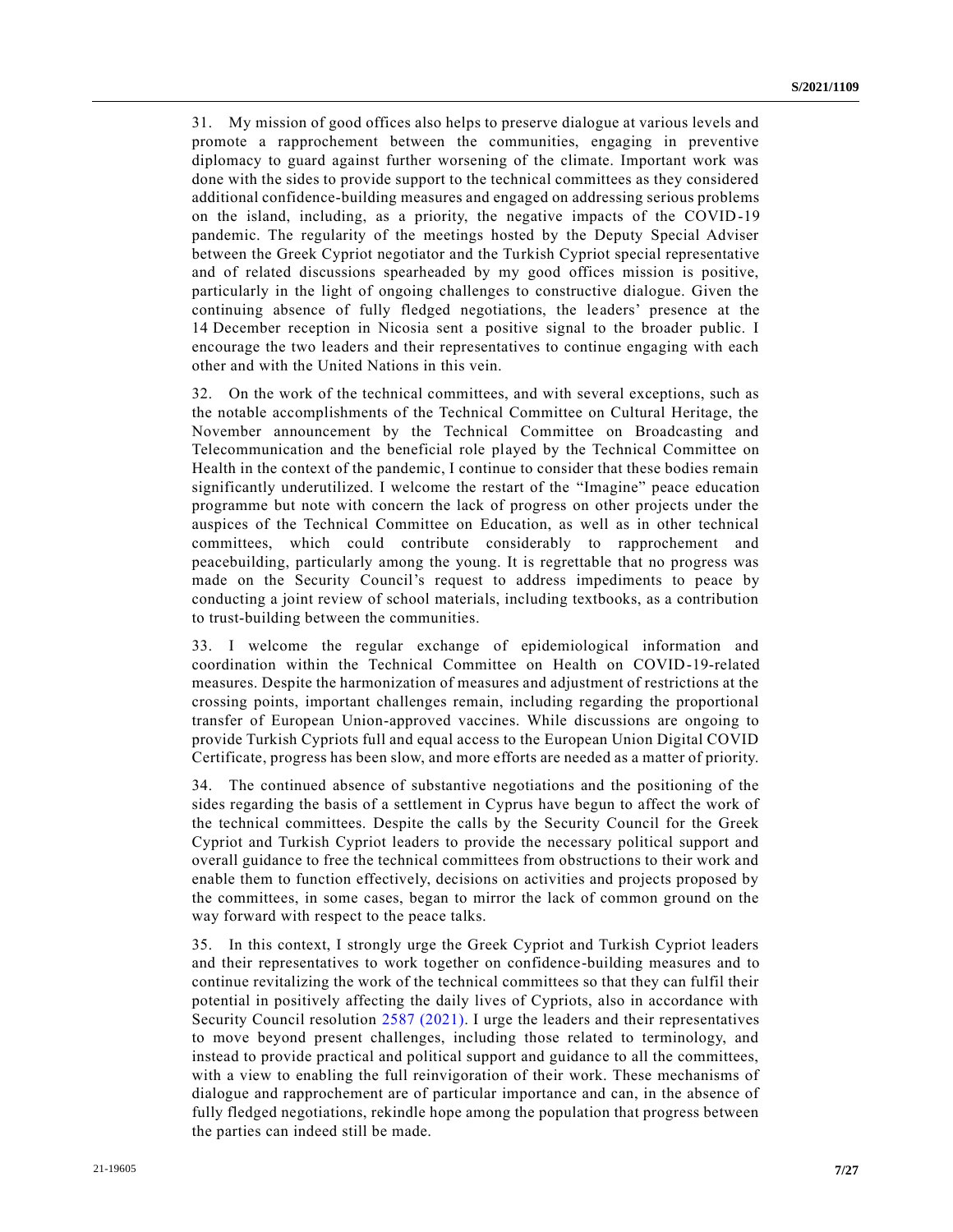31. My mission of good offices also helps to preserve dialogue at various levels and promote a rapprochement between the communities, engaging in preventive diplomacy to guard against further worsening of the climate. Important work was done with the sides to provide support to the technical committees as they considered additional confidence-building measures and engaged on addressing serious problems on the island, including, as a priority, the negative impacts of the COVID-19 pandemic. The regularity of the meetings hosted by the Deputy Special Adviser between the Greek Cypriot negotiator and the Turkish Cypriot special representative and of related discussions spearheaded by my good offices mission is positive, particularly in the light of ongoing challenges to constructive dialogue. Given the continuing absence of fully fledged negotiations, the leaders' presence at the 14 December reception in Nicosia sent a positive signal to the broader public. I encourage the two leaders and their representatives to continue engaging with each other and with the United Nations in this vein.

32. On the work of the technical committees, and with several exceptions, such as the notable accomplishments of the Technical Committee on Cultural Heritage, the November announcement by the Technical Committee on Broadcasting and Telecommunication and the beneficial role played by the Technical Committee on Health in the context of the pandemic, I continue to consider that these bodies remain significantly underutilized. I welcome the restart of the "Imagine" peace education programme but note with concern the lack of progress on other projects under the auspices of the Technical Committee on Education, as well as in other technical committees, which could contribute considerably to rapprochement and peacebuilding, particularly among the young. It is regrettable that no progress was made on the Security Council's request to address impediments to peace by conducting a joint review of school materials, including textbooks, as a contribution to trust-building between the communities.

33. I welcome the regular exchange of epidemiological information and coordination within the Technical Committee on Health on COVID-19-related measures. Despite the harmonization of measures and adjustment of restrictions at the crossing points, important challenges remain, including regarding the proportional transfer of European Union-approved vaccines. While discussions are ongoing to provide Turkish Cypriots full and equal access to the European Union Digital COVID Certificate, progress has been slow, and more efforts are needed as a matter of priority.

34. The continued absence of substantive negotiations and the positioning of the sides regarding the basis of a settlement in Cyprus have begun to affect the work of the technical committees. Despite the calls by the Security Council for the Greek Cypriot and Turkish Cypriot leaders to provide the necessary political support and overall guidance to free the technical committees from obstructions to their work and enable them to function effectively, decisions on activities and projects proposed by the committees, in some cases, began to mirror the lack of common ground on the way forward with respect to the peace talks.

35. In this context, I strongly urge the Greek Cypriot and Turkish Cypriot leaders and their representatives to work together on confidence-building measures and to continue revitalizing the work of the technical committees so that they can fulfil their potential in positively affecting the daily lives of Cypriots, also in accordance with Security Council resolution [2587 \(2021\).](https://undocs.org/en/S/RES/2587(2021)) I urge the leaders and their representatives to move beyond present challenges, including those related to terminology, and instead to provide practical and political support and guidance to all the committees, with a view to enabling the full reinvigoration of their work. These mechanisms of dialogue and rapprochement are of particular importance and can, in the absence of fully fledged negotiations, rekindle hope among the population that progress between the parties can indeed still be made.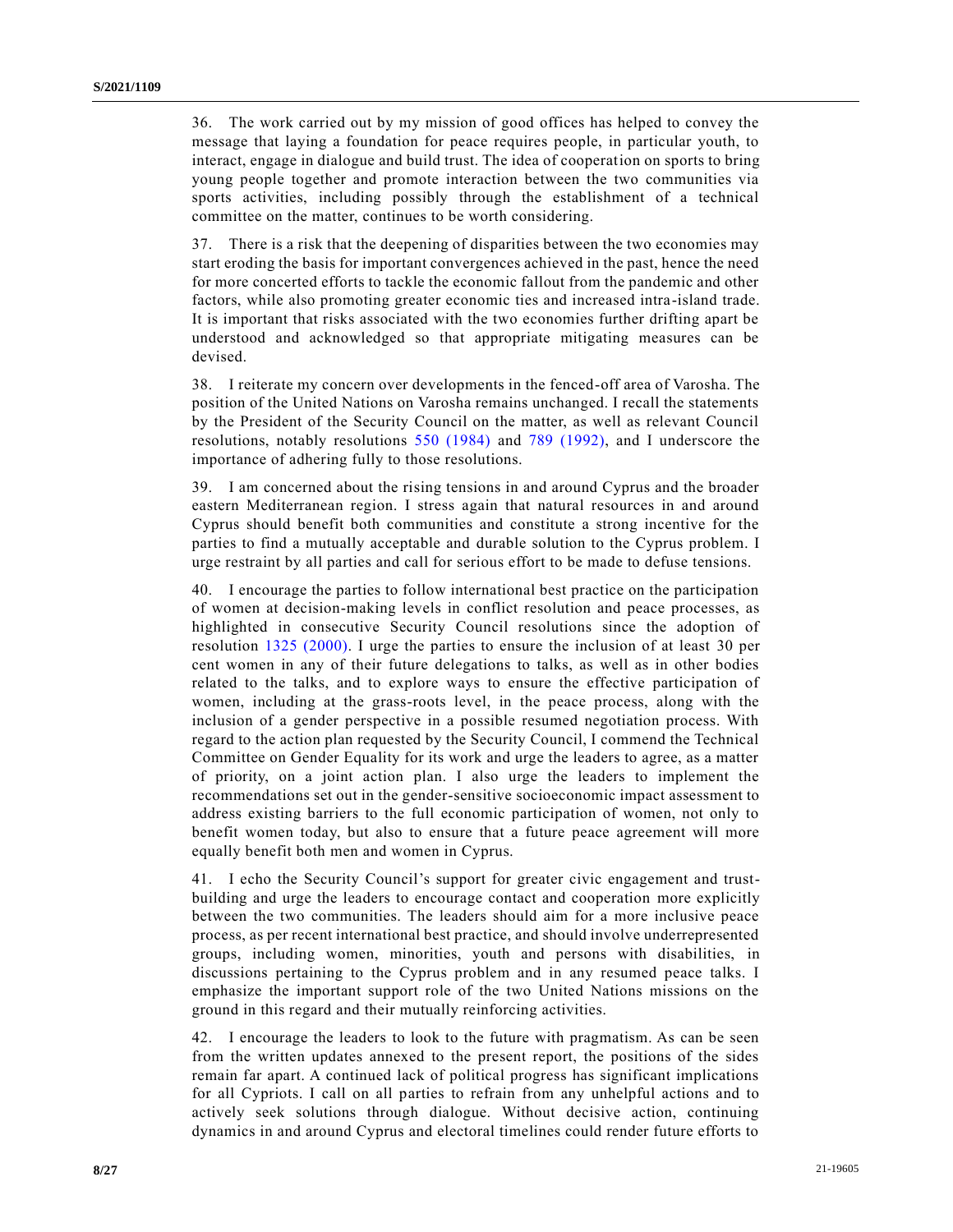36. The work carried out by my mission of good offices has helped to convey the message that laying a foundation for peace requires people, in particular youth, to interact, engage in dialogue and build trust. The idea of cooperation on sports to bring young people together and promote interaction between the two communities via sports activities, including possibly through the establishment of a technical committee on the matter, continues to be worth considering.

37. There is a risk that the deepening of disparities between the two economies may start eroding the basis for important convergences achieved in the past, hence the need for more concerted efforts to tackle the economic fallout from the pandemic and other factors, while also promoting greater economic ties and increased intra-island trade. It is important that risks associated with the two economies further drifting apart be understood and acknowledged so that appropriate mitigating measures can be devised.

38. I reiterate my concern over developments in the fenced-off area of Varosha. The position of the United Nations on Varosha remains unchanged. I recall the statements by the President of the Security Council on the matter, as well as relevant Council resolutions, notably resolutions [550 \(1984\)](https://undocs.org/en/S/RES/550(1984)) and [789 \(1992\),](https://undocs.org/en/S/RES/789(1992)) and I underscore the importance of adhering fully to those resolutions.

39. I am concerned about the rising tensions in and around Cyprus and the broader eastern Mediterranean region. I stress again that natural resources in and around Cyprus should benefit both communities and constitute a strong incentive for the parties to find a mutually acceptable and durable solution to the Cyprus problem. I urge restraint by all parties and call for serious effort to be made to defuse tensions.

40. I encourage the parties to follow international best practice on the participation of women at decision-making levels in conflict resolution and peace processes, as highlighted in consecutive Security Council resolutions since the adoption of resolution [1325 \(2000\).](https://undocs.org/en/S/RES/1325(2000)) I urge the parties to ensure the inclusion of at least 30 per cent women in any of their future delegations to talks, as well as in other bodies related to the talks, and to explore ways to ensure the effective participation of women, including at the grass-roots level, in the peace process, along with the inclusion of a gender perspective in a possible resumed negotiation process. With regard to the action plan requested by the Security Council, I commend the Technical Committee on Gender Equality for its work and urge the leaders to agree, as a matter of priority, on a joint action plan. I also urge the leaders to implement the recommendations set out in the gender-sensitive socioeconomic impact assessment to address existing barriers to the full economic participation of women, not only to benefit women today, but also to ensure that a future peace agreement will more equally benefit both men and women in Cyprus.

41. I echo the Security Council's support for greater civic engagement and trustbuilding and urge the leaders to encourage contact and cooperation more explicitly between the two communities. The leaders should aim for a more inclusive peace process, as per recent international best practice, and should involve underrepresented groups, including women, minorities, youth and persons with disabilities, in discussions pertaining to the Cyprus problem and in any resumed peace talks. I emphasize the important support role of the two United Nations missions on the ground in this regard and their mutually reinforcing activities.

42. I encourage the leaders to look to the future with pragmatism. As can be seen from the written updates annexed to the present report, the positions of the sides remain far apart. A continued lack of political progress has significant implications for all Cypriots. I call on all parties to refrain from any unhelpful actions and to actively seek solutions through dialogue. Without decisive action, continuing dynamics in and around Cyprus and electoral timelines could render future efforts to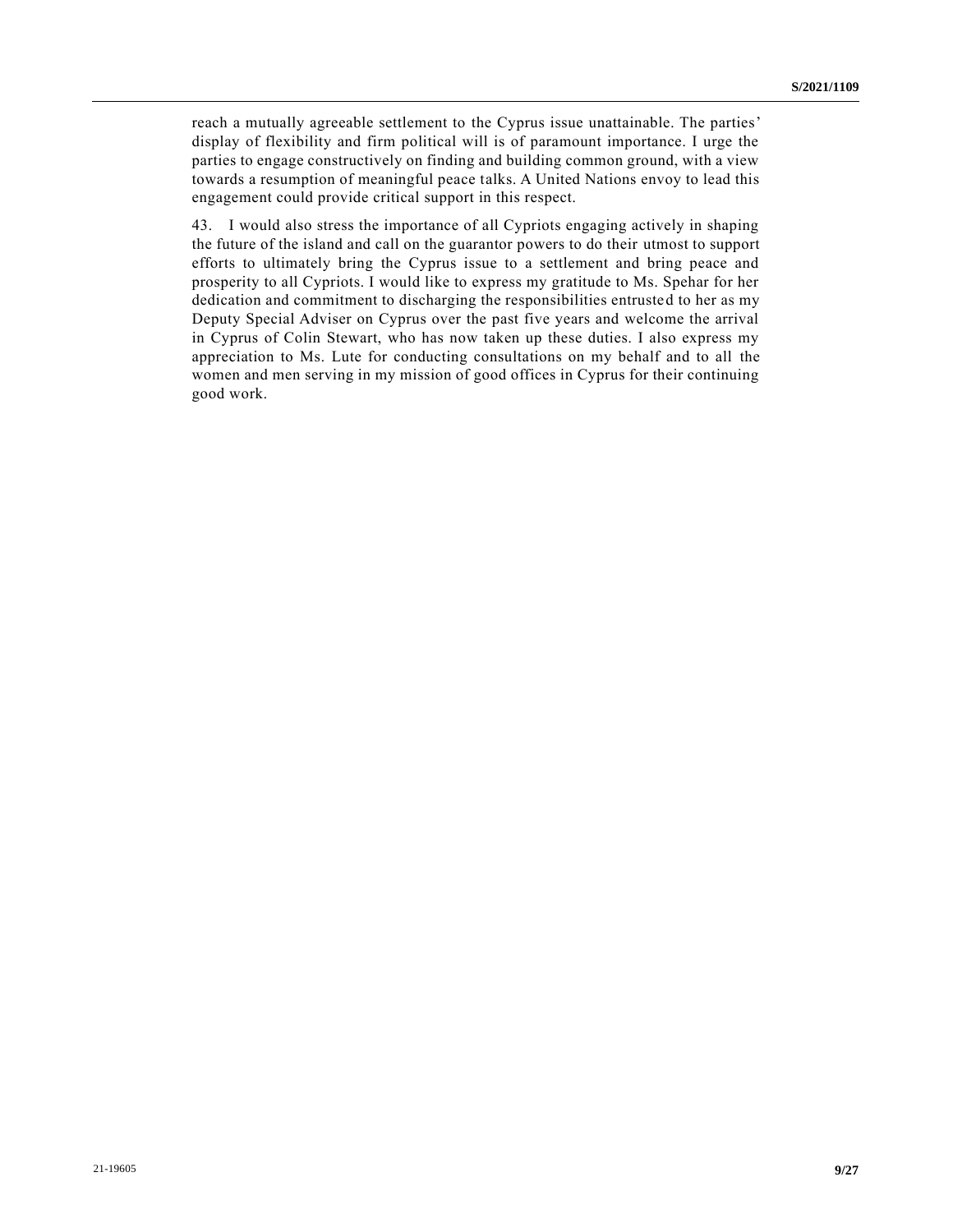reach a mutually agreeable settlement to the Cyprus issue unattainable. The parties' display of flexibility and firm political will is of paramount importance. I urge the parties to engage constructively on finding and building common ground, with a view towards a resumption of meaningful peace talks. A United Nations envoy to lead this engagement could provide critical support in this respect.

43. I would also stress the importance of all Cypriots engaging actively in shaping the future of the island and call on the guarantor powers to do their utmost to support efforts to ultimately bring the Cyprus issue to a settlement and bring peace and prosperity to all Cypriots. I would like to express my gratitude to Ms. Spehar for her dedication and commitment to discharging the responsibilities entrusted to her as my Deputy Special Adviser on Cyprus over the past five years and welcome the arrival in Cyprus of Colin Stewart, who has now taken up these duties. I also express my appreciation to Ms. Lute for conducting consultations on my behalf and to all the women and men serving in my mission of good offices in Cyprus for their continuing good work.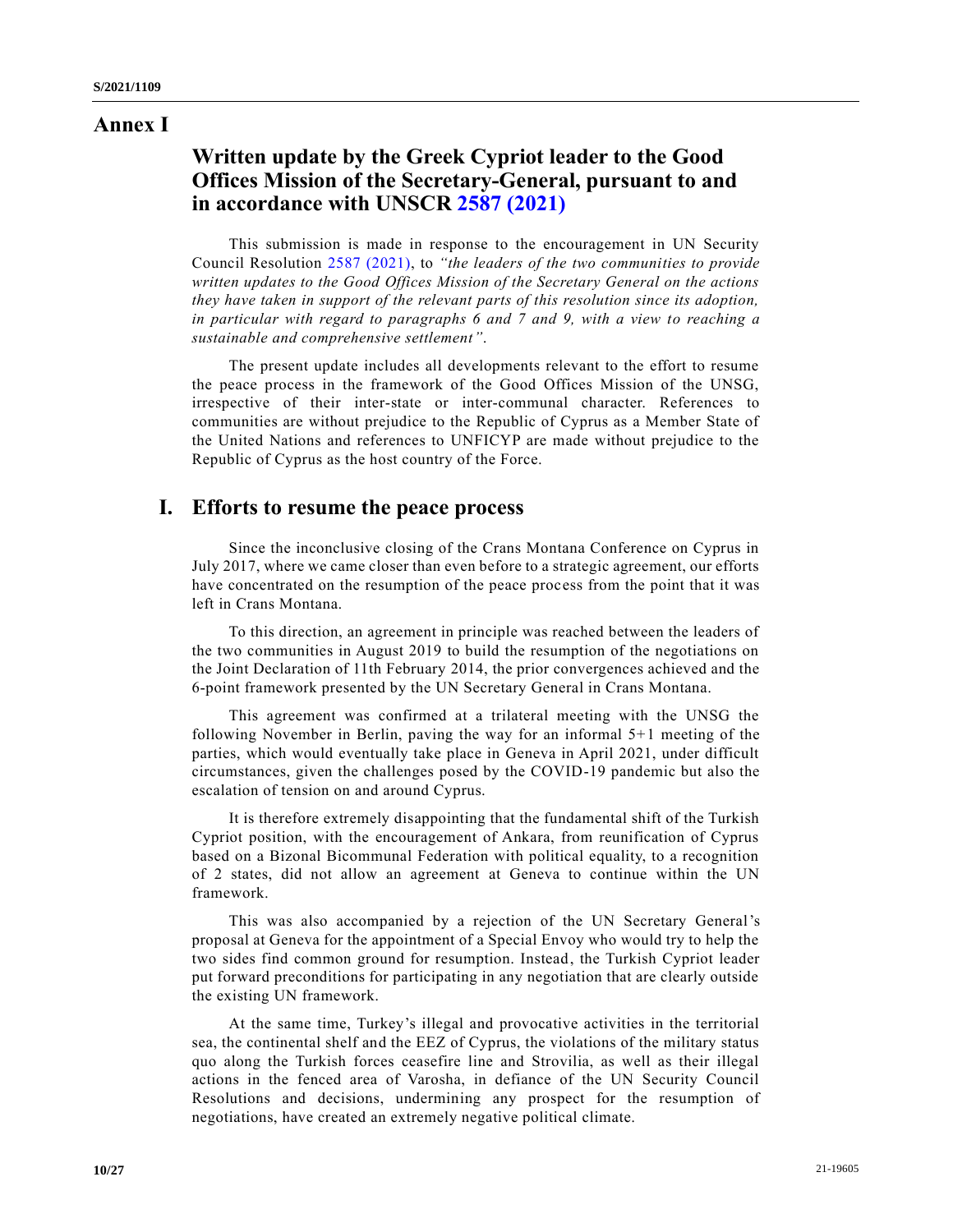## **Annex I**

# **Written update by the Greek Cypriot leader to the Good Offices Mission of the Secretary-General, pursuant to and in accordance with UNSCR [2587 \(2021\)](https://undocs.org/en/S/RES/2587(2021))**

This submission is made in response to the encouragement in UN Security Council Resolution [2587 \(2021\),](https://undocs.org/en/S/RES/2587(2021)) to *"the leaders of the two communities to provide written updates to the Good Offices Mission of the Secretary General on the actions they have taken in support of the relevant parts of this resolution since its adoption, in particular with regard to paragraphs 6 and 7 and 9, with a view to reaching a sustainable and comprehensive settlement"*.

The present update includes all developments relevant to the effort to resume the peace process in the framework of the Good Offices Mission of the UNSG, irrespective of their inter-state or inter-communal character. References to communities are without prejudice to the Republic of Cyprus as a Member State of the United Nations and references to UNFICYP are made without prejudice to the Republic of Cyprus as the host country of the Force.

# **I. Efforts to resume the peace process**

Since the inconclusive closing of the Crans Montana Conference on Cyprus in July 2017, where we came closer than even before to a strategic agreement, our efforts have concentrated on the resumption of the peace process from the point that it was left in Crans Montana.

To this direction, an agreement in principle was reached between the leaders of the two communities in August 2019 to build the resumption of the negotiations on the Joint Declaration of 11th February 2014, the prior convergences achieved and the 6-point framework presented by the UN Secretary General in Crans Montana.

This agreement was confirmed at a trilateral meeting with the UNSG the following November in Berlin, paving the way for an informal 5+1 meeting of the parties, which would eventually take place in Geneva in April 2021, under difficult circumstances, given the challenges posed by the COVID-19 pandemic but also the escalation of tension on and around Cyprus.

It is therefore extremely disappointing that the fundamental shift of the Turkish Cypriot position, with the encouragement of Ankara, from reunification of Cyprus based on a Bizonal Bicommunal Federation with political equality, to a recognition of 2 states, did not allow an agreement at Geneva to continue within the UN framework.

This was also accompanied by a rejection of the UN Secretary General's proposal at Geneva for the appointment of a Special Envoy who would try to help the two sides find common ground for resumption. Instead, the Turkish Cypriot leader put forward preconditions for participating in any negotiation that are clearly outside the existing UN framework.

At the same time, Turkey's illegal and provocative activities in the territorial sea, the continental shelf and the EEZ of Cyprus, the violations of the military status quo along the Turkish forces ceasefire line and Strovilia, as well as their illegal actions in the fenced area of Varosha, in defiance of the UN Security Council Resolutions and decisions, undermining any prospect for the resumption of negotiations, have created an extremely negative political climate.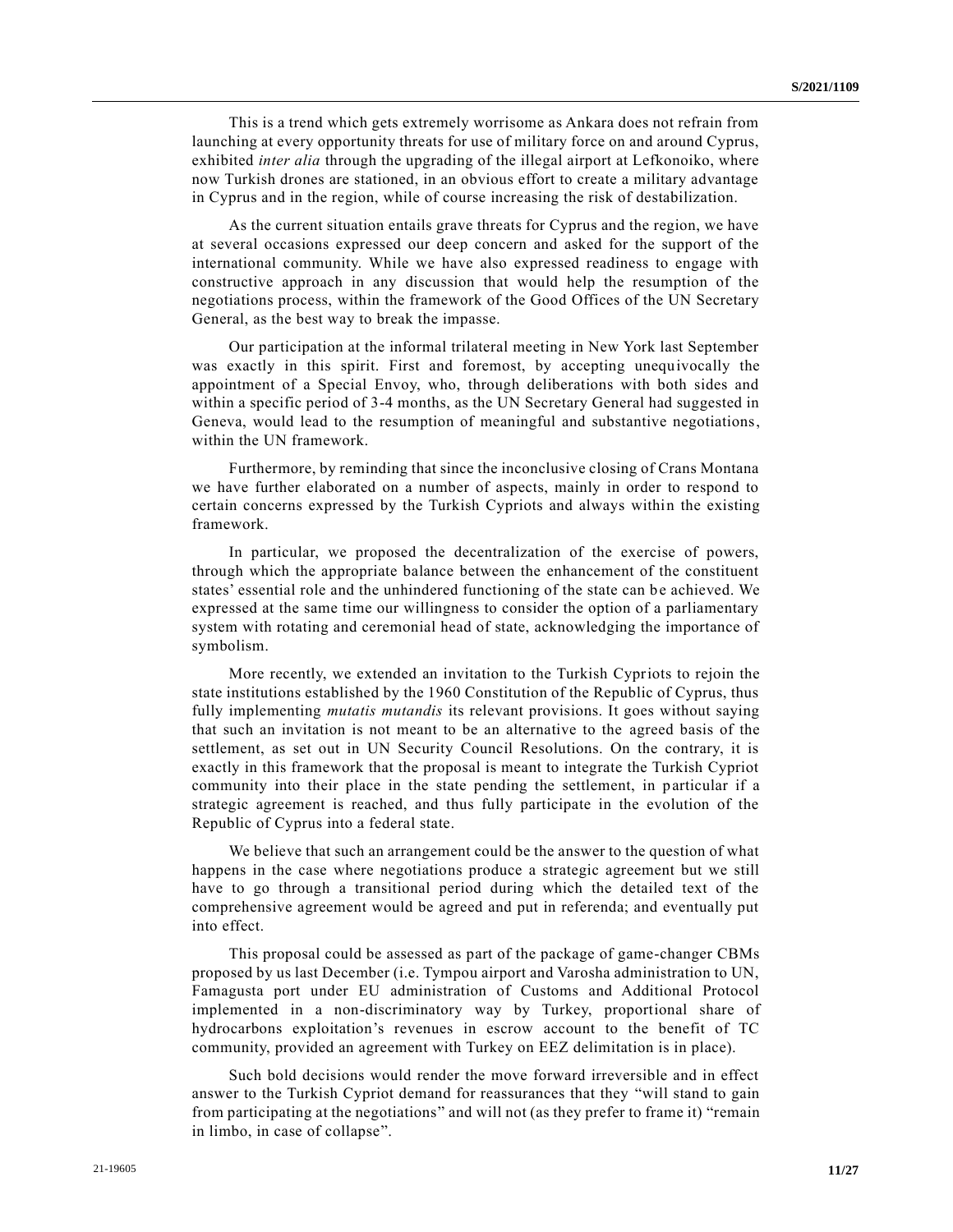This is a trend which gets extremely worrisome as Ankara does not refrain from launching at every opportunity threats for use of military force on and around Cyprus, exhibited *inter alia* through the upgrading of the illegal airport at Lefkonoiko, where now Turkish drones are stationed, in an obvious effort to create a military advantage in Cyprus and in the region, while of course increasing the risk of destabilization.

As the current situation entails grave threats for Cyprus and the region, we have at several occasions expressed our deep concern and asked for the support of the international community. While we have also expressed readiness to engage with constructive approach in any discussion that would help the resumption of the negotiations process, within the framework of the Good Offices of the UN Secretary General, as the best way to break the impasse.

Our participation at the informal trilateral meeting in New York last September was exactly in this spirit. First and foremost, by accepting unequivocally the appointment of a Special Envoy, who, through deliberations with both sides and within a specific period of 3-4 months, as the UN Secretary General had suggested in Geneva, would lead to the resumption of meaningful and substantive negotiations, within the UN framework.

Furthermore, by reminding that since the inconclusive closing of Crans Montana we have further elaborated on a number of aspects, mainly in order to respond to certain concerns expressed by the Turkish Cypriots and always within the existing framework.

In particular, we proposed the decentralization of the exercise of powers, through which the appropriate balance between the enhancement of the constituent states' essential role and the unhindered functioning of the state can be achieved. We expressed at the same time our willingness to consider the option of a parliamentary system with rotating and ceremonial head of state, acknowledging the importance of symbolism.

More recently, we extended an invitation to the Turkish Cypriots to rejoin the state institutions established by the 1960 Constitution of the Republic of Cyprus, thus fully implementing *mutatis mutandis* its relevant provisions. It goes without saying that such an invitation is not meant to be an alternative to the agreed basis of the settlement, as set out in UN Security Council Resolutions. On the contrary, it is exactly in this framework that the proposal is meant to integrate the Turkish Cypriot community into their place in the state pending the settlement, in particular if a strategic agreement is reached, and thus fully participate in the evolution of the Republic of Cyprus into a federal state.

We believe that such an arrangement could be the answer to the question of what happens in the case where negotiations produce a strategic agreement but we still have to go through a transitional period during which the detailed text of the comprehensive agreement would be agreed and put in referenda; and eventually put into effect.

This proposal could be assessed as part of the package of game-changer CBMs proposed by us last December (i.e. Tympou airport and Varosha administration to UN, Famagusta port under EU administration of Customs and Additional Protocol implemented in a non-discriminatory way by Turkey, proportional share of hydrocarbons exploitation's revenues in escrow account to the benefit of TC community, provided an agreement with Turkey on EEZ delimitation is in place).

Such bold decisions would render the move forward irreversible and in effect answer to the Turkish Cypriot demand for reassurances that they "will stand to gain from participating at the negotiations" and will not (as they prefer to frame it) "remain in limbo, in case of collapse".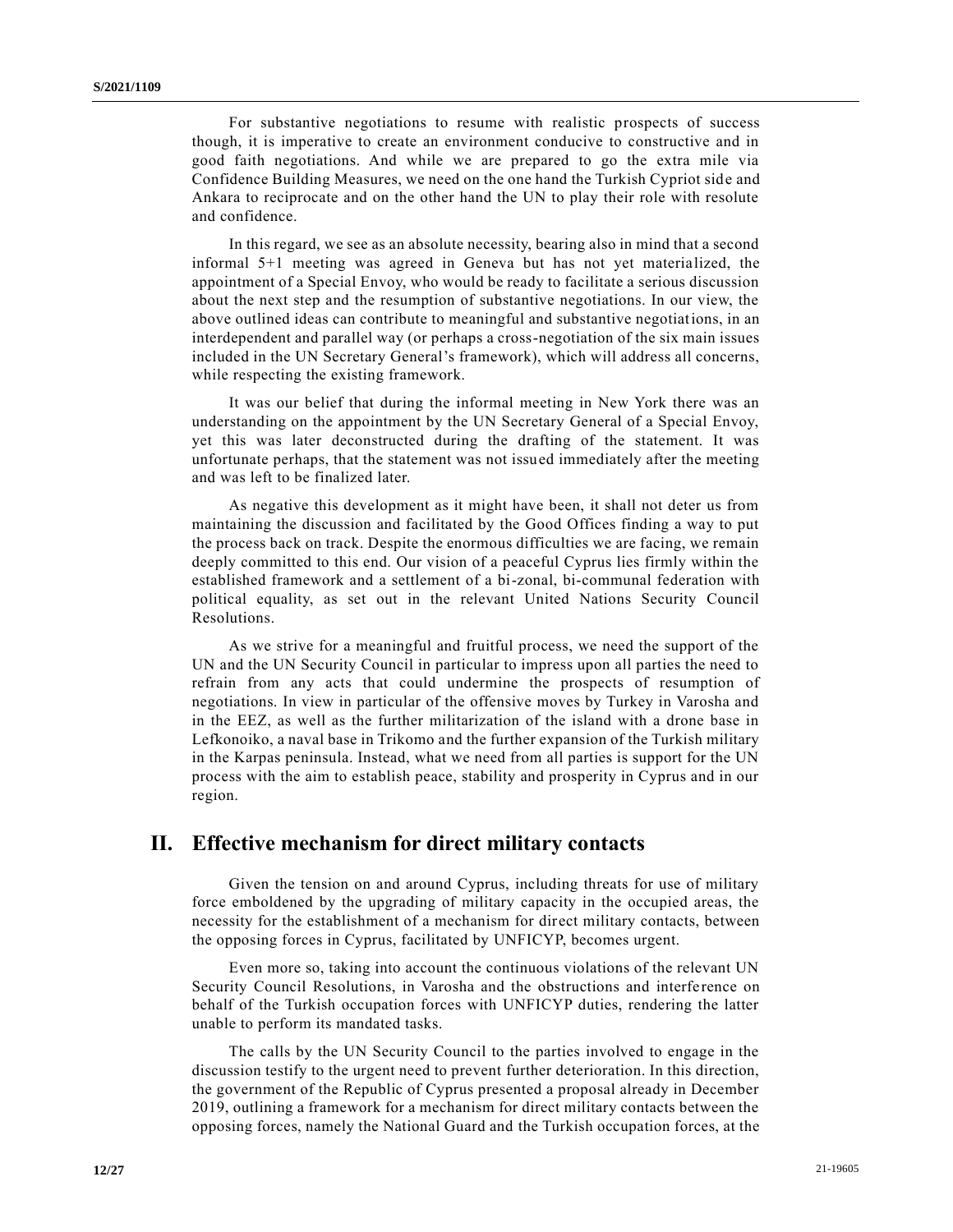For substantive negotiations to resume with realistic prospects of success though, it is imperative to create an environment conducive to constructive and in good faith negotiations. And while we are prepared to go the extra mile via Confidence Building Measures, we need on the one hand the Turkish Cypriot side and Ankara to reciprocate and on the other hand the UN to play their role with resolute and confidence.

In this regard, we see as an absolute necessity, bearing also in mind that a second informal 5+1 meeting was agreed in Geneva but has not yet materialized, the appointment of a Special Envoy, who would be ready to facilitate a serious discussion about the next step and the resumption of substantive negotiations. In our view, the above outlined ideas can contribute to meaningful and substantive negotiations, in an interdependent and parallel way (or perhaps a cross-negotiation of the six main issues included in the UN Secretary General's framework), which will address all concerns, while respecting the existing framework.

It was our belief that during the informal meeting in New York there was an understanding on the appointment by the UN Secretary General of a Special Envoy, yet this was later deconstructed during the drafting of the statement. It was unfortunate perhaps, that the statement was not issued immediately after the meeting and was left to be finalized later.

As negative this development as it might have been, it shall not deter us from maintaining the discussion and facilitated by the Good Offices finding a way to put the process back on track. Despite the enormous difficulties we are facing, we remain deeply committed to this end. Our vision of a peaceful Cyprus lies firmly within the established framework and a settlement of a bi-zonal, bi-communal federation with political equality, as set out in the relevant United Nations Security Council Resolutions.

As we strive for a meaningful and fruitful process, we need the support of the UN and the UN Security Council in particular to impress upon all parties the need to refrain from any acts that could undermine the prospects of resumption of negotiations. In view in particular of the offensive moves by Turkey in Varosha and in the EEZ, as well as the further militarization of the island with a drone base in Lefkonoiko, a naval base in Trikomo and the further expansion of the Turkish military in the Karpas peninsula. Instead, what we need from all parties is support for the UN process with the aim to establish peace, stability and prosperity in Cyprus and in our region.

## **II. Effective mechanism for direct military contacts**

Given the tension on and around Cyprus, including threats for use of military force emboldened by the upgrading of military capacity in the occupied areas, the necessity for the establishment of a mechanism for direct military contacts, between the opposing forces in Cyprus, facilitated by UNFICYP, becomes urgent.

Even more so, taking into account the continuous violations of the relevant UN Security Council Resolutions, in Varosha and the obstructions and interference on behalf of the Turkish occupation forces with UNFICYP duties, rendering the latter unable to perform its mandated tasks.

The calls by the UN Security Council to the parties involved to engage in the discussion testify to the urgent need to prevent further deterioration. In this direction, the government of the Republic of Cyprus presented a proposal already in December 2019, outlining a framework for a mechanism for direct military contacts between the opposing forces, namely the National Guard and the Turkish occupation forces, at the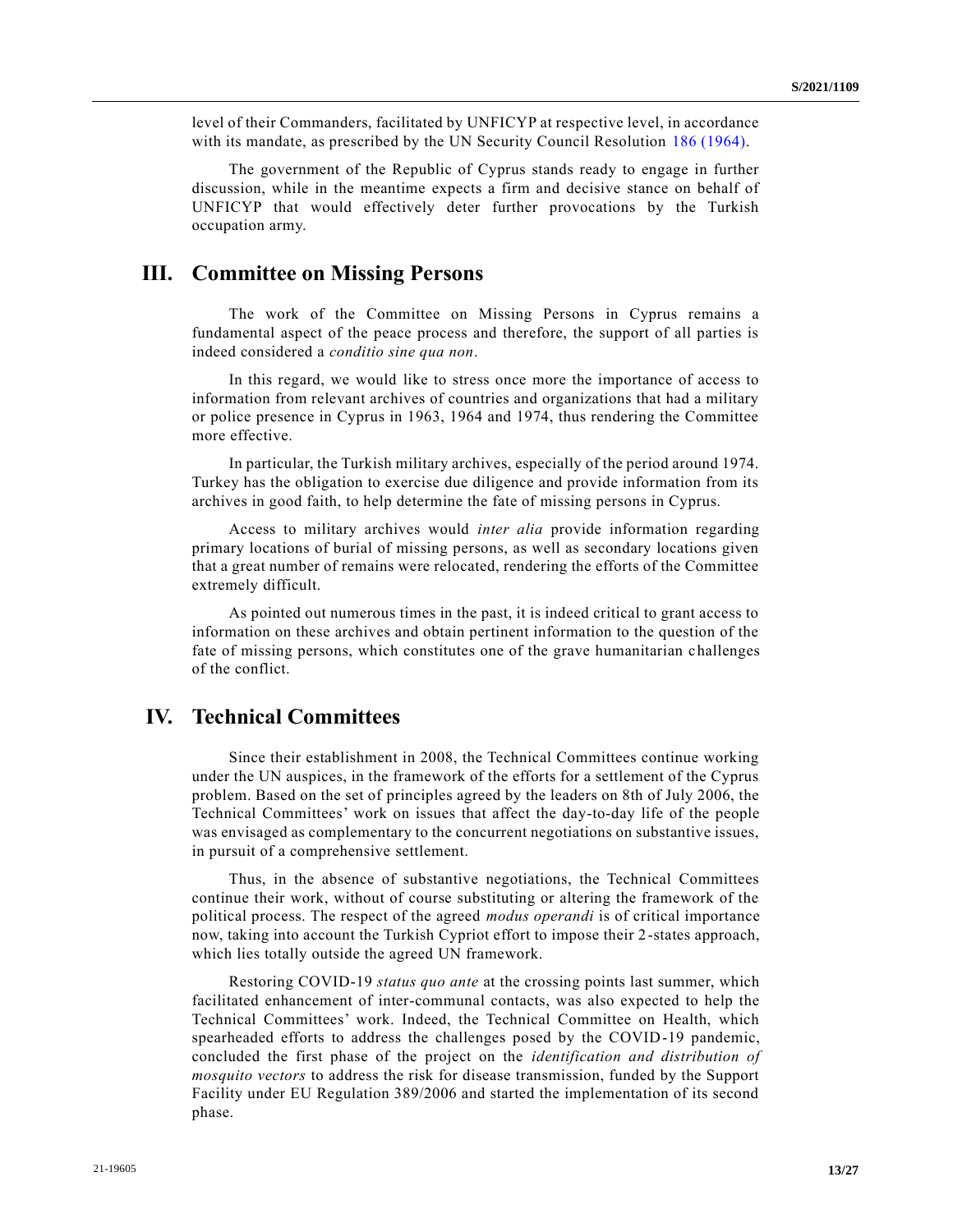level of their Commanders, facilitated by UNFICYP at respective level, in accordance with its mandate, as prescribed by the UN Security Council Resolution [186 \(1964\).](https://undocs.org/en/S/RES/186(1964))

The government of the Republic of Cyprus stands ready to engage in further discussion, while in the meantime expects a firm and decisive stance on behalf of UNFICYP that would effectively deter further provocations by the Turkish occupation army.

## **III. Committee on Missing Persons**

The work of the Committee on Missing Persons in Cyprus remains a fundamental aspect of the peace process and therefore, the support of all parties is indeed considered a *conditio sine qua non*.

In this regard, we would like to stress once more the importance of access to information from relevant archives of countries and organizations that had a military or police presence in Cyprus in 1963, 1964 and 1974, thus rendering the Committee more effective.

In particular, the Turkish military archives, especially of the period around 1974. Turkey has the obligation to exercise due diligence and provide information from its archives in good faith, to help determine the fate of missing persons in Cyprus.

Access to military archives would *inter alia* provide information regarding primary locations of burial of missing persons, as well as secondary locations given that a great number of remains were relocated, rendering the efforts of the Committee extremely difficult.

As pointed out numerous times in the past, it is indeed critical to grant access to information on these archives and obtain pertinent information to the question of the fate of missing persons, which constitutes one of the grave humanitarian challenges of the conflict.

# **IV. Technical Committees**

Since their establishment in 2008, the Technical Committees continue working under the UN auspices, in the framework of the efforts for a settlement of the Cyprus problem. Based on the set of principles agreed by the leaders on 8th of July 2006, the Technical Committees' work on issues that affect the day-to-day life of the people was envisaged as complementary to the concurrent negotiations on substantive issues, in pursuit of a comprehensive settlement.

Thus, in the absence of substantive negotiations, the Technical Committees continue their work, without of course substituting or altering the framework of the political process. The respect of the agreed *modus operandi* is of critical importance now, taking into account the Turkish Cypriot effort to impose their 2-states approach, which lies totally outside the agreed UN framework.

Restoring COVID-19 *status quo ante* at the crossing points last summer, which facilitated enhancement of inter-communal contacts, was also expected to help the Technical Committees' work. Indeed, the Technical Committee on Health, which spearheaded efforts to address the challenges posed by the COVID-19 pandemic, concluded the first phase of the project on the *identification and distribution of mosquito vectors* to address the risk for disease transmission, funded by the Support Facility under EU Regulation 389/2006 and started the implementation of its second phase.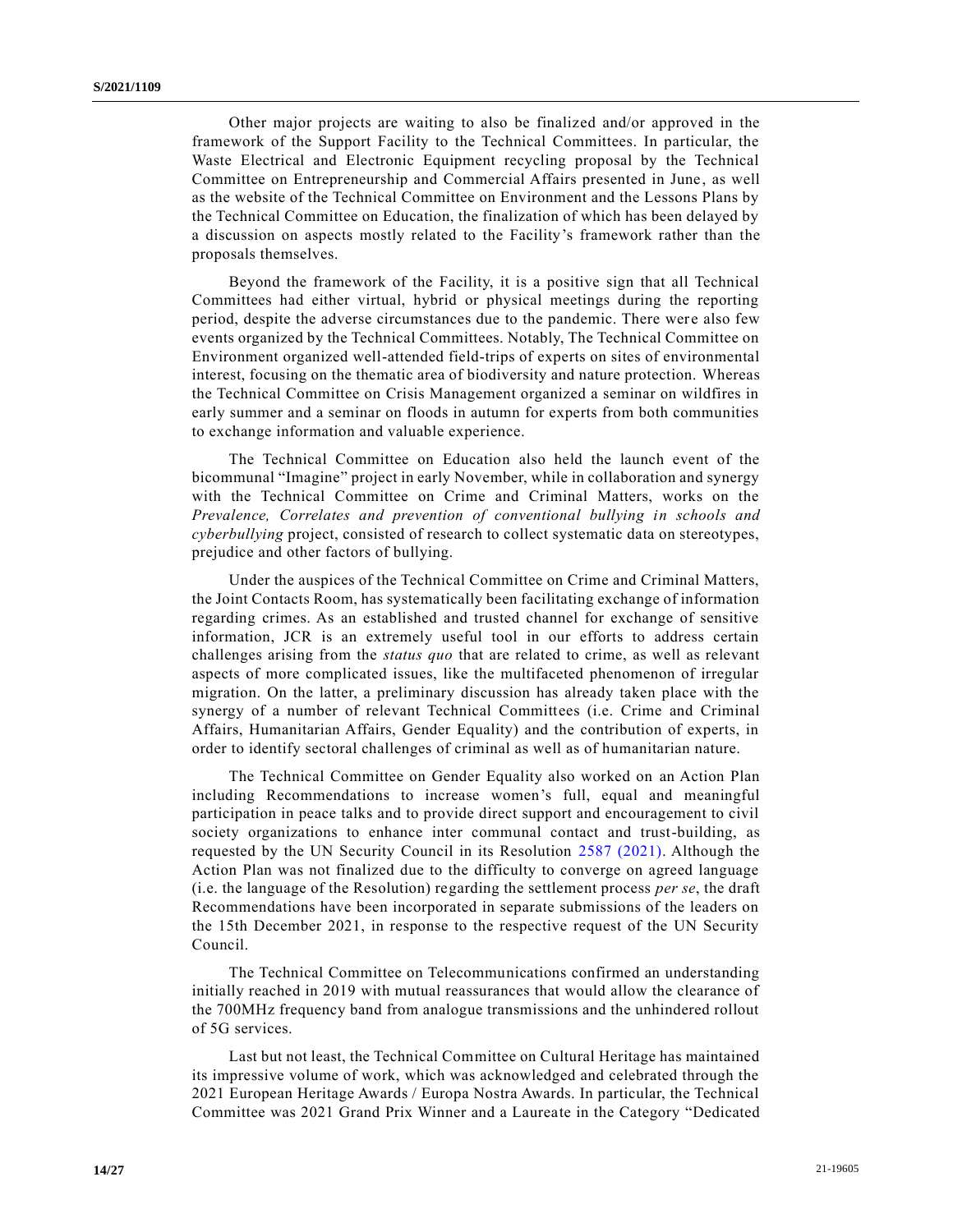Other major projects are waiting to also be finalized and/or approved in the framework of the Support Facility to the Technical Committees. In particular, the Waste Electrical and Electronic Equipment recycling proposal by the Technical Committee on Entrepreneurship and Commercial Affairs presented in June, as well as the website of the Technical Committee on Environment and the Lessons Plans by the Technical Committee on Education, the finalization of which has been delayed by a discussion on aspects mostly related to the Facility's framework rather than the proposals themselves.

Beyond the framework of the Facility, it is a positive sign that all Technical Committees had either virtual, hybrid or physical meetings during the reporting period, despite the adverse circumstances due to the pandemic. There wer e also few events organized by the Technical Committees. Notably, The Technical Committee on Environment organized well-attended field-trips of experts on sites of environmental interest, focusing on the thematic area of biodiversity and nature protection. Whereas the Technical Committee on Crisis Management organized a seminar on wildfires in early summer and a seminar on floods in autumn for experts from both communities to exchange information and valuable experience.

The Technical Committee on Education also held the launch event of the bicommunal "Imagine" project in early November, while in collaboration and synergy with the Technical Committee on Crime and Criminal Matters, works on the *Prevalence, Correlates and prevention of conventional bullying in schools and cyberbullying* project, consisted of research to collect systematic data on stereotypes, prejudice and other factors of bullying.

Under the auspices of the Technical Committee on Crime and Criminal Matters, the Joint Contacts Room, has systematically been facilitating exchange of information regarding crimes. As an established and trusted channel for exchange of sensitive information, JCR is an extremely useful tool in our efforts to address certain challenges arising from the *status quo* that are related to crime, as well as relevant aspects of more complicated issues, like the multifaceted phenomenon of irregular migration. On the latter, a preliminary discussion has already taken place with the synergy of a number of relevant Technical Committees (i.e. Crime and Criminal Affairs, Humanitarian Affairs, Gender Equality) and the contribution of experts, in order to identify sectoral challenges of criminal as well as of humanitarian nature.

The Technical Committee on Gender Equality also worked on an Action Plan including Recommendations to increase women's full, equal and meaningful participation in peace talks and to provide direct support and encouragement to civil society organizations to enhance inter communal contact and trust-building, as requested by the UN Security Council in its Resolution [2587 \(2021\).](https://undocs.org/en/S/RES/2587(2021)) Although the Action Plan was not finalized due to the difficulty to converge on agreed language (i.e. the language of the Resolution) regarding the settlement process *per se*, the draft Recommendations have been incorporated in separate submissions of the leaders on the 15th December 2021, in response to the respective request of the UN Security Council.

The Technical Committee on Telecommunications confirmed an understanding initially reached in 2019 with mutual reassurances that would allow the clearance of the 700MHz frequency band from analogue transmissions and the unhindered rollout of 5G services.

Last but not least, the Technical Committee on Cultural Heritage has maintained its impressive volume of work, which was acknowledged and celebrated through the 2021 European Heritage Awards / Europa Nostra Awards. In particular, the Technical Committee was 2021 Grand Prix Winner and a Laureate in the Category "Dedicated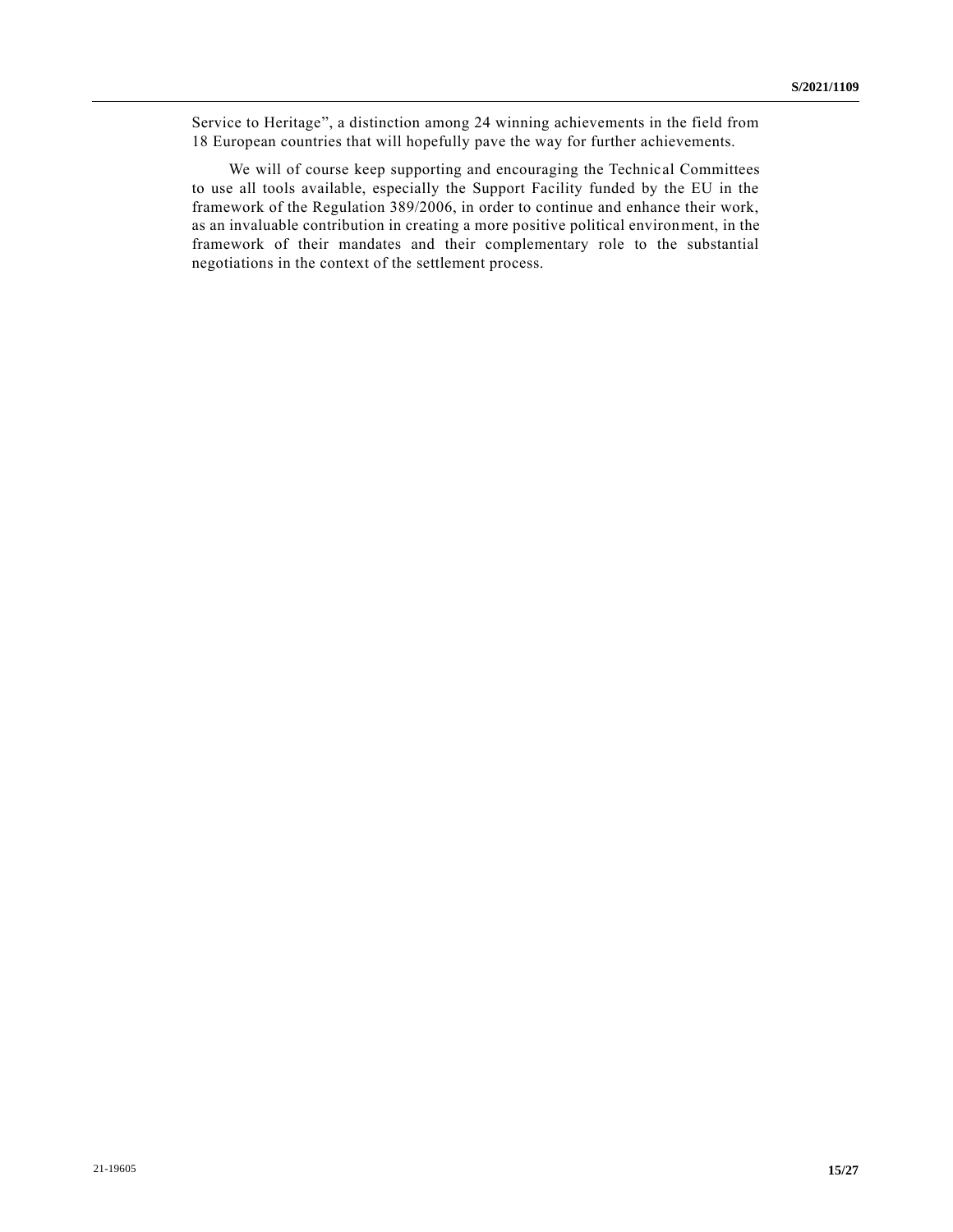Service to Heritage", a distinction among 24 winning achievements in the field from 18 European countries that will hopefully pave the way for further achievements.

We will of course keep supporting and encouraging the Technical Committees to use all tools available, especially the Support Facility funded by the EU in the framework of the Regulation 389/2006, in order to continue and enhance their work, as an invaluable contribution in creating a more positive political environment, in the framework of their mandates and their complementary role to the substantial negotiations in the context of the settlement process.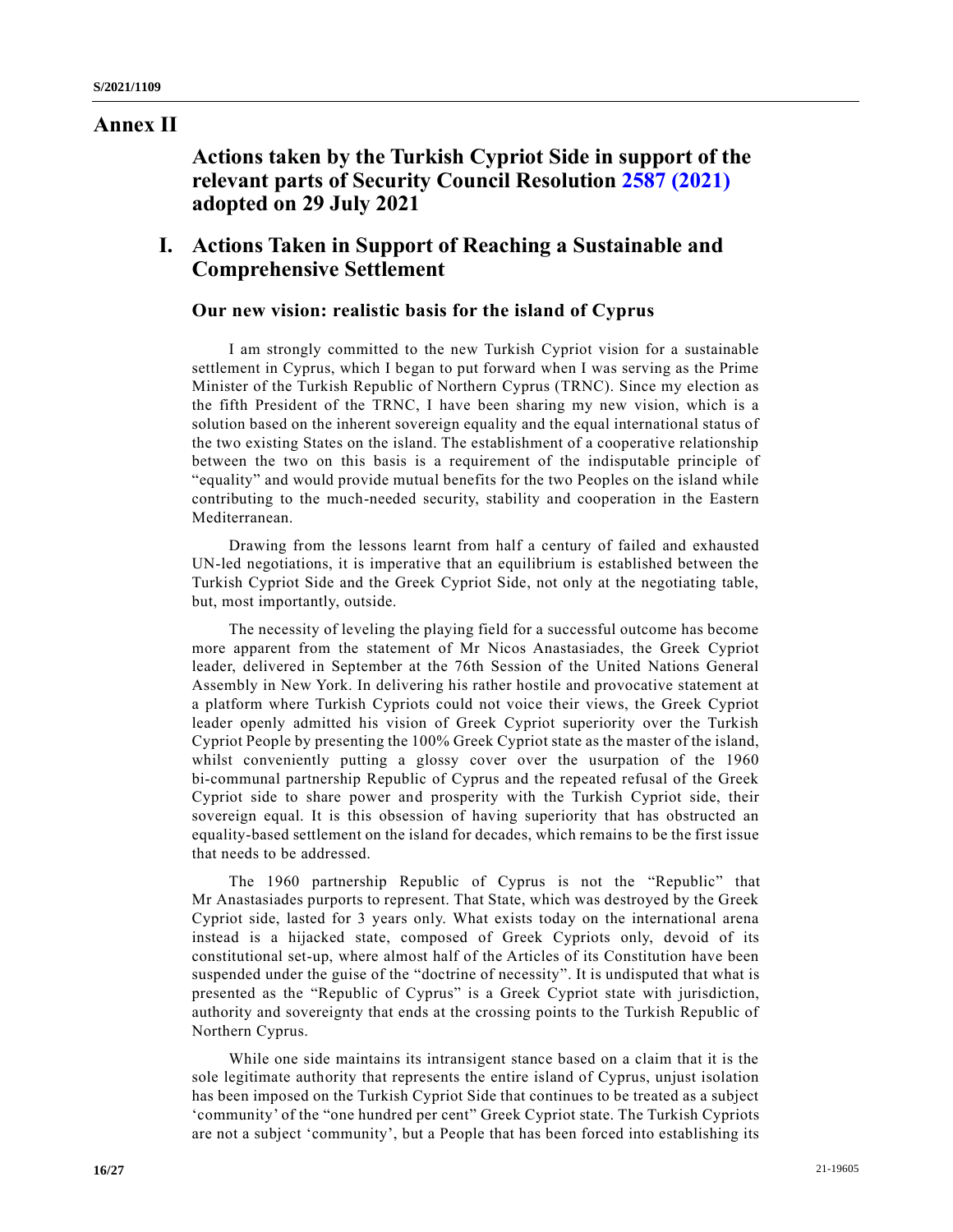## **Annex II**

**Actions taken by the Turkish Cypriot Side in support of the relevant parts of Security Council Resolution [2587 \(2021\)](https://undocs.org/en/S/RES/2587(2021)) adopted on 29 July 2021**

# **I. Actions Taken in Support of Reaching a Sustainable and Comprehensive Settlement**

### **Our new vision: realistic basis for the island of Cyprus**

I am strongly committed to the new Turkish Cypriot vision for a sustainable settlement in Cyprus, which I began to put forward when I was serving as the Prime Minister of the Turkish Republic of Northern Cyprus (TRNC). Since my election as the fifth President of the TRNC, I have been sharing my new vision, which is a solution based on the inherent sovereign equality and the equal international status of the two existing States on the island. The establishment of a cooperative relationship between the two on this basis is a requirement of the indisputable principle of "equality" and would provide mutual benefits for the two Peoples on the island while contributing to the much-needed security, stability and cooperation in the Eastern Mediterranean.

Drawing from the lessons learnt from half a century of failed and exhausted UN-led negotiations, it is imperative that an equilibrium is established between the Turkish Cypriot Side and the Greek Cypriot Side, not only at the negotiating table, but, most importantly, outside.

The necessity of leveling the playing field for a successful outcome has become more apparent from the statement of Mr Nicos Anastasiades, the Greek Cypriot leader, delivered in September at the 76th Session of the United Nations General Assembly in New York. In delivering his rather hostile and provocative statement at a platform where Turkish Cypriots could not voice their views, the Greek Cypriot leader openly admitted his vision of Greek Cypriot superiority over the Turkish Cypriot People by presenting the 100% Greek Cypriot state as the master of the island, whilst conveniently putting a glossy cover over the usurpation of the 1960 bi-communal partnership Republic of Cyprus and the repeated refusal of the Greek Cypriot side to share power and prosperity with the Turkish Cypriot side, their sovereign equal. It is this obsession of having superiority that has obstructed an equality-based settlement on the island for decades, which remains to be the first issue that needs to be addressed.

The 1960 partnership Republic of Cyprus is not the "Republic" that Mr Anastasiades purports to represent. That State, which was destroyed by the Greek Cypriot side, lasted for 3 years only. What exists today on the international arena instead is a hijacked state, composed of Greek Cypriots only, devoid of its constitutional set-up, where almost half of the Articles of its Constitution have been suspended under the guise of the "doctrine of necessity". It is undisputed that what is presented as the "Republic of Cyprus" is a Greek Cypriot state with jurisdiction, authority and sovereignty that ends at the crossing points to the Turkish Republic of Northern Cyprus.

While one side maintains its intransigent stance based on a claim that it is the sole legitimate authority that represents the entire island of Cyprus, unjust isolation has been imposed on the Turkish Cypriot Side that continues to be treated as a subject 'community' of the "one hundred per cent" Greek Cypriot state. The Turkish Cypriots are not a subject 'community', but a People that has been forced into establishing its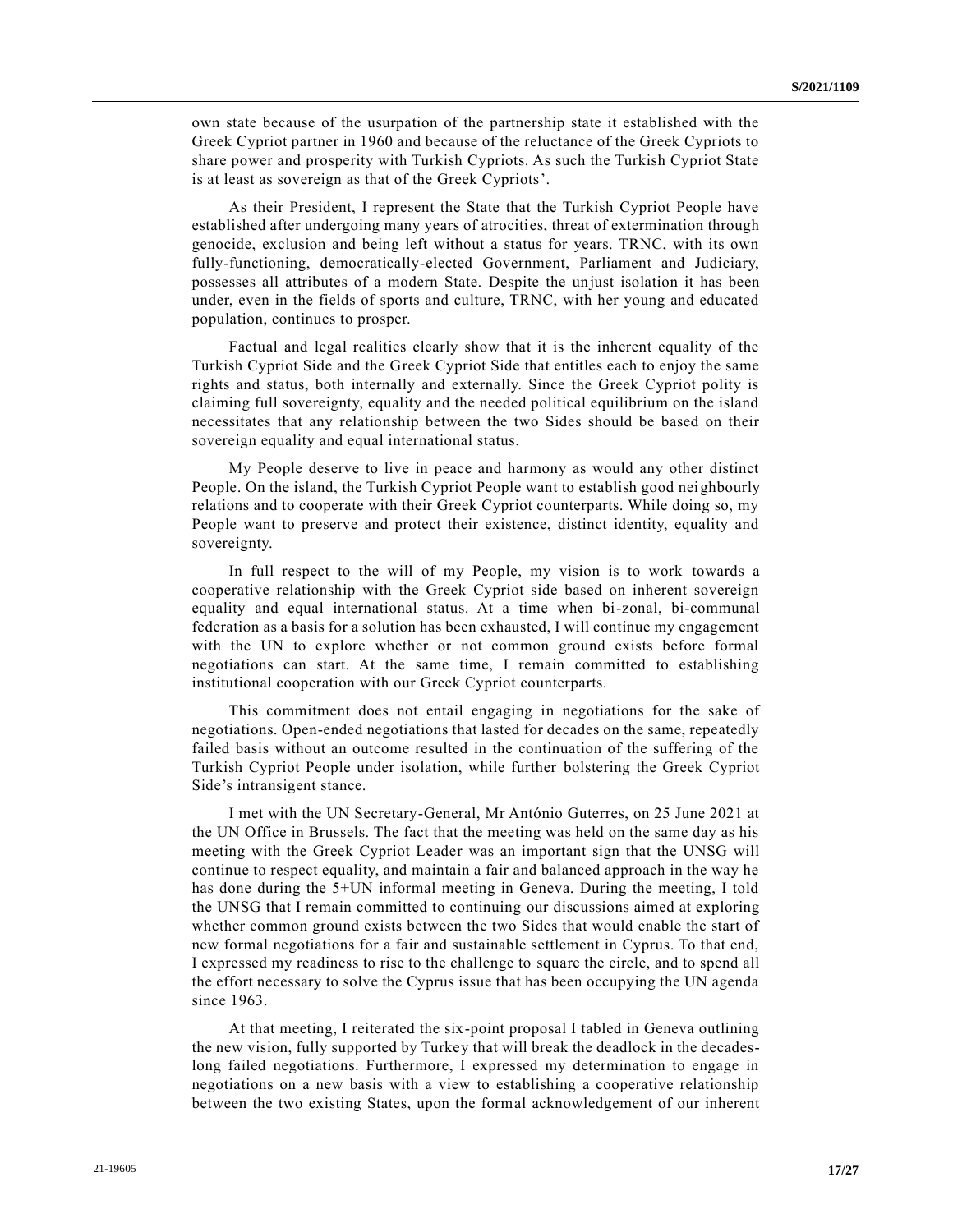own state because of the usurpation of the partnership state it established with the Greek Cypriot partner in 1960 and because of the reluctance of the Greek Cypriots to share power and prosperity with Turkish Cypriots. As such the Turkish Cypriot State is at least as sovereign as that of the Greek Cypriots'.

As their President, I represent the State that the Turkish Cypriot People have established after undergoing many years of atrocities, threat of extermination through genocide, exclusion and being left without a status for years. TRNC, with its own fully-functioning, democratically-elected Government, Parliament and Judiciary, possesses all attributes of a modern State. Despite the unjust isolation it has been under, even in the fields of sports and culture, TRNC, with her young and educated population, continues to prosper.

Factual and legal realities clearly show that it is the inherent equality of the Turkish Cypriot Side and the Greek Cypriot Side that entitles each to enjoy the same rights and status, both internally and externally. Since the Greek Cypriot polity is claiming full sovereignty, equality and the needed political equilibrium on the island necessitates that any relationship between the two Sides should be based on their sovereign equality and equal international status.

My People deserve to live in peace and harmony as would any other distinct People. On the island, the Turkish Cypriot People want to establish good neighbourly relations and to cooperate with their Greek Cypriot counterparts. While doing so, my People want to preserve and protect their existence, distinct identity, equality and sovereignty.

In full respect to the will of my People, my vision is to work towards a cooperative relationship with the Greek Cypriot side based on inherent sovereign equality and equal international status. At a time when bi-zonal, bi-communal federation as a basis for a solution has been exhausted, I will continue my engagement with the UN to explore whether or not common ground exists before formal negotiations can start. At the same time, I remain committed to establishing institutional cooperation with our Greek Cypriot counterparts.

This commitment does not entail engaging in negotiations for the sake of negotiations. Open-ended negotiations that lasted for decades on the same, repeatedly failed basis without an outcome resulted in the continuation of the suffering of the Turkish Cypriot People under isolation, while further bolstering the Greek Cypriot Side's intransigent stance.

I met with the UN Secretary-General, Mr António Guterres, on 25 June 2021 at the UN Office in Brussels. The fact that the meeting was held on the same day as his meeting with the Greek Cypriot Leader was an important sign that the UNSG will continue to respect equality, and maintain a fair and balanced approach in the way he has done during the 5+UN informal meeting in Geneva. During the meeting, I told the UNSG that I remain committed to continuing our discussions aimed at exploring whether common ground exists between the two Sides that would enable the start of new formal negotiations for a fair and sustainable settlement in Cyprus. To that end, I expressed my readiness to rise to the challenge to square the circle, and to spend all the effort necessary to solve the Cyprus issue that has been occupying the UN agenda since 1963.

At that meeting, I reiterated the six-point proposal I tabled in Geneva outlining the new vision, fully supported by Turkey that will break the deadlock in the decadeslong failed negotiations. Furthermore, I expressed my determination to engage in negotiations on a new basis with a view to establishing a cooperative relationship between the two existing States, upon the formal acknowledgement of our inherent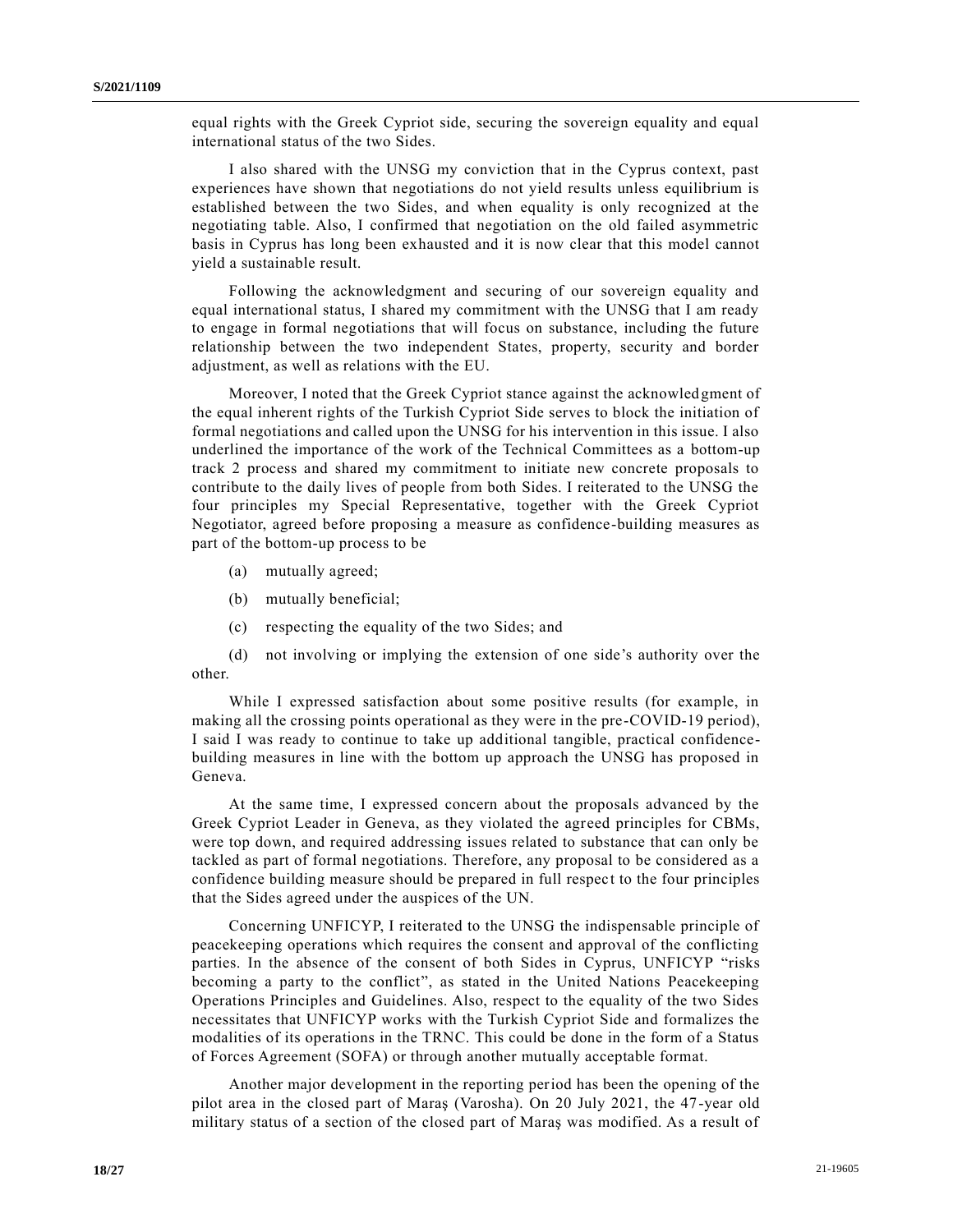equal rights with the Greek Cypriot side, securing the sovereign equality and equal international status of the two Sides.

I also shared with the UNSG my conviction that in the Cyprus context, past experiences have shown that negotiations do not yield results unless equilibrium is established between the two Sides, and when equality is only recognized at the negotiating table. Also, I confirmed that negotiation on the old failed asymmetric basis in Cyprus has long been exhausted and it is now clear that this model cannot yield a sustainable result.

Following the acknowledgment and securing of our sovereign equality and equal international status, I shared my commitment with the UNSG that I am ready to engage in formal negotiations that will focus on substance, including the future relationship between the two independent States, property, security and border adjustment, as well as relations with the EU.

Moreover, I noted that the Greek Cypriot stance against the acknowledgment of the equal inherent rights of the Turkish Cypriot Side serves to block the initiation of formal negotiations and called upon the UNSG for his intervention in this issue. I also underlined the importance of the work of the Technical Committees as a bottom-up track 2 process and shared my commitment to initiate new concrete proposals to contribute to the daily lives of people from both Sides. I reiterated to the UNSG the four principles my Special Representative, together with the Greek Cypriot Negotiator, agreed before proposing a measure as confidence-building measures as part of the bottom-up process to be

- (a) mutually agreed;
- (b) mutually beneficial;
- (c) respecting the equality of the two Sides; and

(d) not involving or implying the extension of one side's authority over the other.

While I expressed satisfaction about some positive results (for example, in making all the crossing points operational as they were in the pre-COVID-19 period), I said I was ready to continue to take up additional tangible, practical confidencebuilding measures in line with the bottom up approach the UNSG has proposed in Geneva.

At the same time, I expressed concern about the proposals advanced by the Greek Cypriot Leader in Geneva, as they violated the agreed principles for CBMs, were top down, and required addressing issues related to substance that can only be tackled as part of formal negotiations. Therefore, any proposal to be considered as a confidence building measure should be prepared in full respect to the four principles that the Sides agreed under the auspices of the UN.

Concerning UNFICYP, I reiterated to the UNSG the indispensable principle of peacekeeping operations which requires the consent and approval of the conflicting parties. In the absence of the consent of both Sides in Cyprus, UNFICYP "risks becoming a party to the conflict", as stated in the United Nations Peacekeeping Operations Principles and Guidelines. Also, respect to the equality of the two Sides necessitates that UNFICYP works with the Turkish Cypriot Side and formalizes the modalities of its operations in the TRNC. This could be done in the form of a Status of Forces Agreement (SOFA) or through another mutually acceptable format.

Another major development in the reporting period has been the opening of the pilot area in the closed part of Maraş (Varosha). On 20 July 2021, the 47-year old military status of a section of the closed part of Maraş was modified. As a result of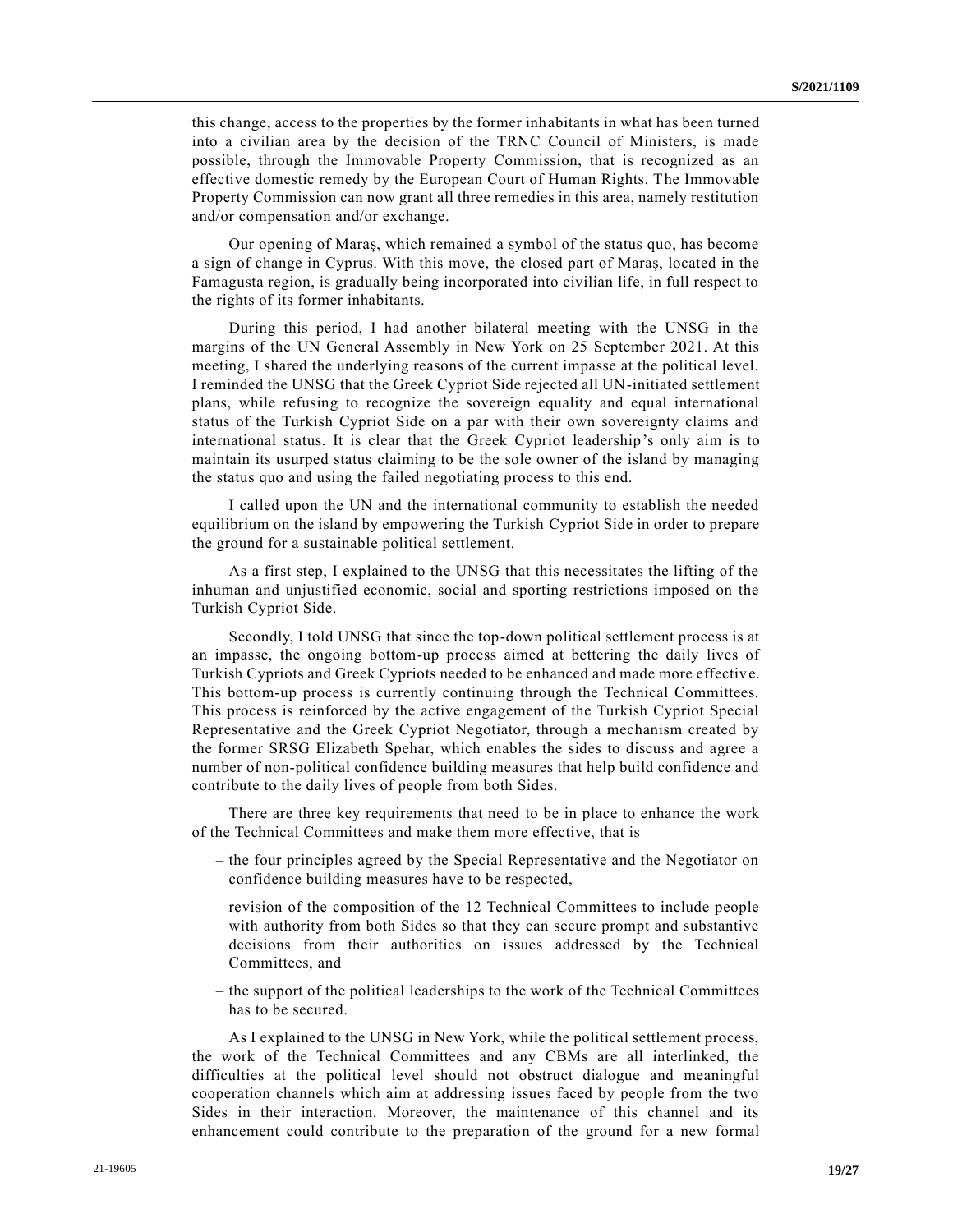this change, access to the properties by the former inhabitants in what has been turned into a civilian area by the decision of the TRNC Council of Ministers, is made possible, through the Immovable Property Commission, that is recognized as an effective domestic remedy by the European Court of Human Rights. The Immovable Property Commission can now grant all three remedies in this area, namely restitution and/or compensation and/or exchange.

Our opening of Maraş, which remained a symbol of the status quo, has become a sign of change in Cyprus. With this move, the closed part of Maraş, located in the Famagusta region, is gradually being incorporated into civilian life, in full respect to the rights of its former inhabitants.

During this period, I had another bilateral meeting with the UNSG in the margins of the UN General Assembly in New York on 25 September 2021. At this meeting, I shared the underlying reasons of the current impasse at the political level. I reminded the UNSG that the Greek Cypriot Side rejected all UN-initiated settlement plans, while refusing to recognize the sovereign equality and equal international status of the Turkish Cypriot Side on a par with their own sovereignty claims and international status. It is clear that the Greek Cypriot leadership's only aim is to maintain its usurped status claiming to be the sole owner of the island by managing the status quo and using the failed negotiating process to this end.

I called upon the UN and the international community to establish the needed equilibrium on the island by empowering the Turkish Cypriot Side in order to prepare the ground for a sustainable political settlement.

As a first step, I explained to the UNSG that this necessitates the lifting of the inhuman and unjustified economic, social and sporting restrictions imposed on the Turkish Cypriot Side.

Secondly, I told UNSG that since the top-down political settlement process is at an impasse, the ongoing bottom-up process aimed at bettering the daily lives of Turkish Cypriots and Greek Cypriots needed to be enhanced and made more effective. This bottom-up process is currently continuing through the Technical Committees. This process is reinforced by the active engagement of the Turkish Cypriot Special Representative and the Greek Cypriot Negotiator, through a mechanism created by the former SRSG Elizabeth Spehar, which enables the sides to discuss and agree a number of non-political confidence building measures that help build confidence and contribute to the daily lives of people from both Sides.

There are three key requirements that need to be in place to enhance the work of the Technical Committees and make them more effective, that is

- the four principles agreed by the Special Representative and the Negotiator on confidence building measures have to be respected,
- revision of the composition of the 12 Technical Committees to include people with authority from both Sides so that they can secure prompt and substantive decisions from their authorities on issues addressed by the Technical Committees, and
- the support of the political leaderships to the work of the Technical Committees has to be secured.

As I explained to the UNSG in New York, while the political settlement process, the work of the Technical Committees and any CBMs are all interlinked, the difficulties at the political level should not obstruct dialogue and meaningful cooperation channels which aim at addressing issues faced by people from the two Sides in their interaction. Moreover, the maintenance of this channel and its enhancement could contribute to the preparation of the ground for a new formal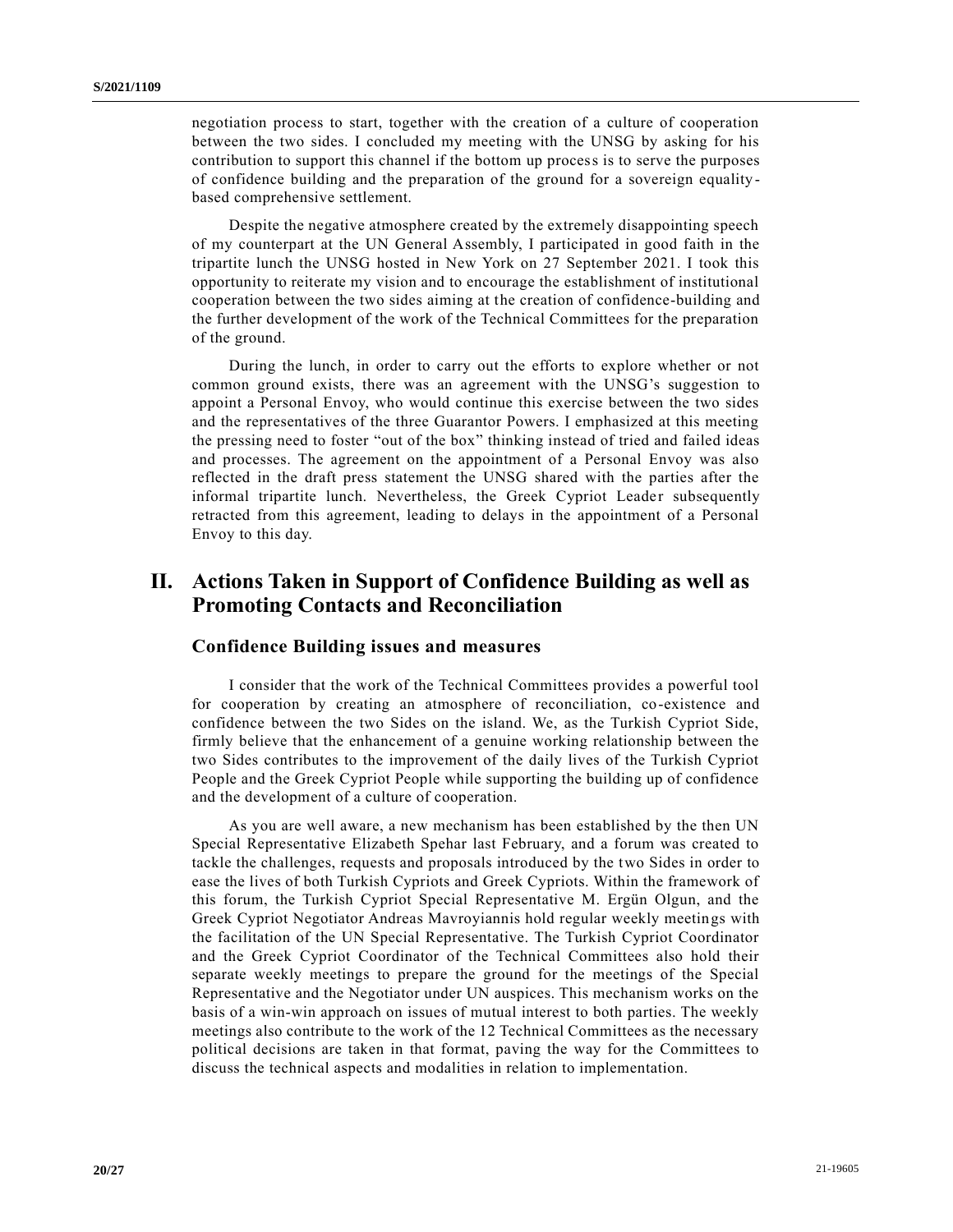negotiation process to start, together with the creation of a culture of cooperation between the two sides. I concluded my meeting with the UNSG by asking for his contribution to support this channel if the bottom up process is to serve the purposes of confidence building and the preparation of the ground for a sovereign equality based comprehensive settlement.

Despite the negative atmosphere created by the extremely disappointing speech of my counterpart at the UN General Assembly, I participated in good faith in the tripartite lunch the UNSG hosted in New York on 27 September 2021. I took this opportunity to reiterate my vision and to encourage the establishment of institutional cooperation between the two sides aiming at the creation of confidence-building and the further development of the work of the Technical Committees for the preparation of the ground.

During the lunch, in order to carry out the efforts to explore whether or not common ground exists, there was an agreement with the UNSG's suggestion to appoint a Personal Envoy, who would continue this exercise between the two sides and the representatives of the three Guarantor Powers. I emphasized at this meeting the pressing need to foster "out of the box" thinking instead of tried and failed ideas and processes. The agreement on the appointment of a Personal Envoy was also reflected in the draft press statement the UNSG shared with the parties after the informal tripartite lunch. Nevertheless, the Greek Cypriot Leader subsequently retracted from this agreement, leading to delays in the appointment of a Personal Envoy to this day.

# **II. Actions Taken in Support of Confidence Building as well as Promoting Contacts and Reconciliation**

### **Confidence Building issues and measures**

I consider that the work of the Technical Committees provides a powerful tool for cooperation by creating an atmosphere of reconciliation, co-existence and confidence between the two Sides on the island. We, as the Turkish Cypriot Side, firmly believe that the enhancement of a genuine working relationship between the two Sides contributes to the improvement of the daily lives of the Turkish Cypriot People and the Greek Cypriot People while supporting the building up of confidence and the development of a culture of cooperation.

As you are well aware, a new mechanism has been established by the then UN Special Representative Elizabeth Spehar last February, and a forum was created to tackle the challenges, requests and proposals introduced by the two Sides in order to ease the lives of both Turkish Cypriots and Greek Cypriots. Within the framework of this forum, the Turkish Cypriot Special Representative M. Ergün Olgun, and the Greek Cypriot Negotiator Andreas Mavroyiannis hold regular weekly meetings with the facilitation of the UN Special Representative. The Turkish Cypriot Coordinator and the Greek Cypriot Coordinator of the Technical Committees also hold their separate weekly meetings to prepare the ground for the meetings of the Special Representative and the Negotiator under UN auspices. This mechanism works on the basis of a win-win approach on issues of mutual interest to both parties. The weekly meetings also contribute to the work of the 12 Technical Committees as the necessary political decisions are taken in that format, paving the way for the Committees to discuss the technical aspects and modalities in relation to implementation.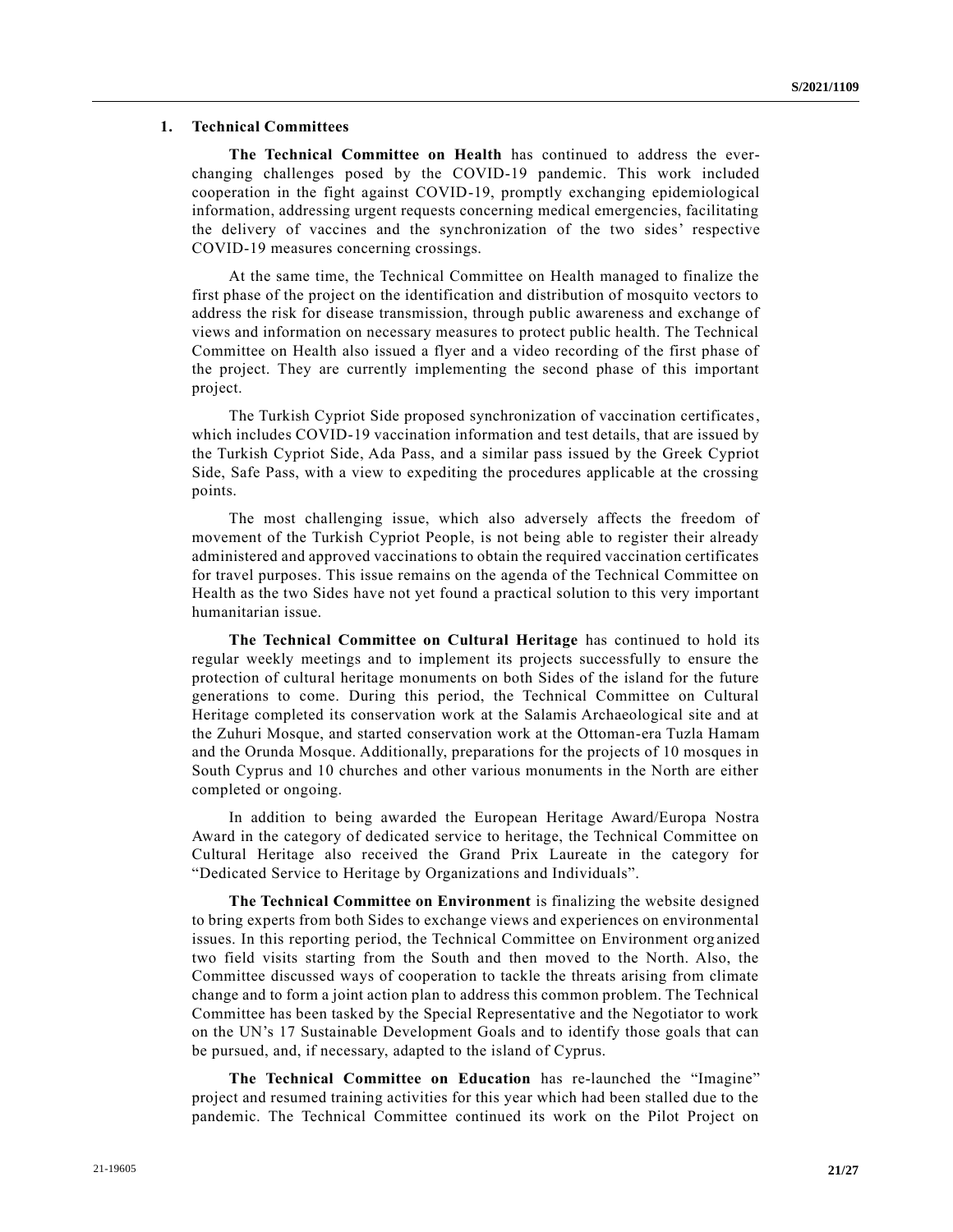#### **1. Technical Committees**

**The Technical Committee on Health** has continued to address the everchanging challenges posed by the COVID-19 pandemic. This work included cooperation in the fight against COVID-19, promptly exchanging epidemiological information, addressing urgent requests concerning medical emergencies, facilitating the delivery of vaccines and the synchronization of the two sides' respective COVID-19 measures concerning crossings.

At the same time, the Technical Committee on Health managed to finalize the first phase of the project on the identification and distribution of mosquito vectors to address the risk for disease transmission, through public awareness and exchange of views and information on necessary measures to protect public health. The Technical Committee on Health also issued a flyer and a video recording of the first phase of the project. They are currently implementing the second phase of this important project.

The Turkish Cypriot Side proposed synchronization of vaccination certificates, which includes COVID-19 vaccination information and test details, that are issued by the Turkish Cypriot Side, Ada Pass, and a similar pass issued by the Greek Cypriot Side, Safe Pass, with a view to expediting the procedures applicable at the crossing points.

The most challenging issue, which also adversely affects the freedom of movement of the Turkish Cypriot People, is not being able to register their already administered and approved vaccinations to obtain the required vaccination certificates for travel purposes. This issue remains on the agenda of the Technical Committee on Health as the two Sides have not yet found a practical solution to this very important humanitarian issue.

**The Technical Committee on Cultural Heritage** has continued to hold its regular weekly meetings and to implement its projects successfully to ensure the protection of cultural heritage monuments on both Sides of the island for the future generations to come. During this period, the Technical Committee on Cultural Heritage completed its conservation work at the Salamis Archaeological site and at the Zuhuri Mosque, and started conservation work at the Ottoman-era Tuzla Hamam and the Orunda Mosque. Additionally, preparations for the projects of 10 mosques in South Cyprus and 10 churches and other various monuments in the North are either completed or ongoing.

In addition to being awarded the European Heritage Award/Europa Nostra Award in the category of dedicated service to heritage, the Technical Committee on Cultural Heritage also received the Grand Prix Laureate in the category for "Dedicated Service to Heritage by Organizations and Individuals".

**The Technical Committee on Environment** is finalizing the website designed to bring experts from both Sides to exchange views and experiences on environmental issues. In this reporting period, the Technical Committee on Environment org anized two field visits starting from the South and then moved to the North. Also, the Committee discussed ways of cooperation to tackle the threats arising from climate change and to form a joint action plan to address this common problem. The Technical Committee has been tasked by the Special Representative and the Negotiator to work on the UN's 17 Sustainable Development Goals and to identify those goals that can be pursued, and, if necessary, adapted to the island of Cyprus.

**The Technical Committee on Education** has re-launched the "Imagine" project and resumed training activities for this year which had been stalled due to the pandemic. The Technical Committee continued its work on the Pilot Project on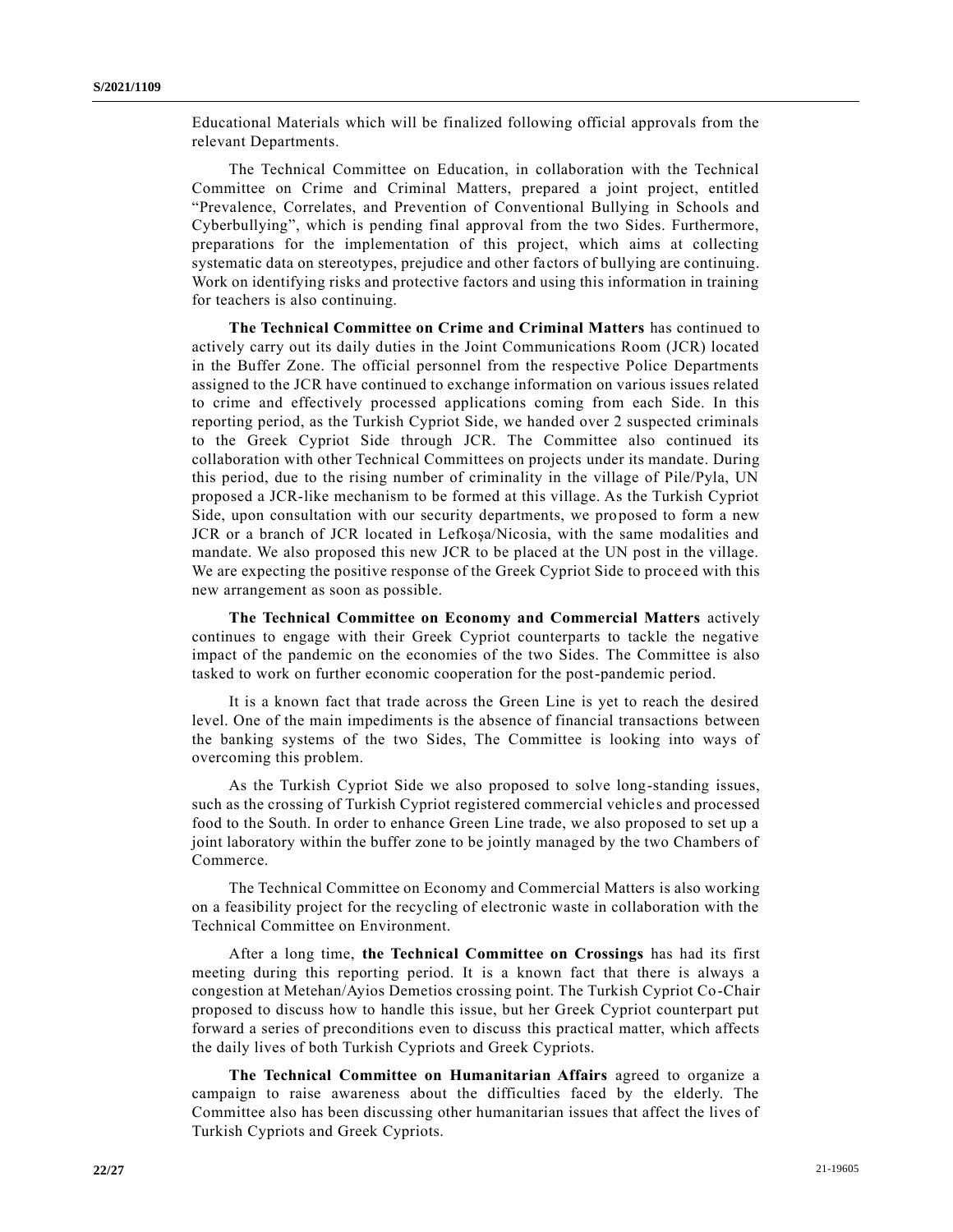Educational Materials which will be finalized following official approvals from the relevant Departments.

The Technical Committee on Education, in collaboration with the Technical Committee on Crime and Criminal Matters, prepared a joint project, entitled "Prevalence, Correlates, and Prevention of Conventional Bullying in Schools and Cyberbullying", which is pending final approval from the two Sides. Furthermore, preparations for the implementation of this project, which aims at collecting systematic data on stereotypes, prejudice and other factors of bullying are continuing. Work on identifying risks and protective factors and using this information in training for teachers is also continuing.

**The Technical Committee on Crime and Criminal Matters** has continued to actively carry out its daily duties in the Joint Communications Room (JCR) located in the Buffer Zone. The official personnel from the respective Police Departments assigned to the JCR have continued to exchange information on various issues related to crime and effectively processed applications coming from each Side. In this reporting period, as the Turkish Cypriot Side, we handed over 2 suspected criminals to the Greek Cypriot Side through JCR. The Committee also continued its collaboration with other Technical Committees on projects under its mandate. During this period, due to the rising number of criminality in the village of Pile/Pyla, UN proposed a JCR-like mechanism to be formed at this village. As the Turkish Cypriot Side, upon consultation with our security departments, we proposed to form a new JCR or a branch of JCR located in Lefkoşa/Nicosia, with the same modalities and mandate. We also proposed this new JCR to be placed at the UN post in the village. We are expecting the positive response of the Greek Cypriot Side to proceed with this new arrangement as soon as possible.

**The Technical Committee on Economy and Commercial Matters** actively continues to engage with their Greek Cypriot counterparts to tackle the negative impact of the pandemic on the economies of the two Sides. The Committee is also tasked to work on further economic cooperation for the post-pandemic period.

It is a known fact that trade across the Green Line is yet to reach the desired level. One of the main impediments is the absence of financial transactions between the banking systems of the two Sides, The Committee is looking into ways of overcoming this problem.

As the Turkish Cypriot Side we also proposed to solve long-standing issues, such as the crossing of Turkish Cypriot registered commercial vehicles and processed food to the South. In order to enhance Green Line trade, we also proposed to set up a joint laboratory within the buffer zone to be jointly managed by the two Chambers of Commerce.

The Technical Committee on Economy and Commercial Matters is also working on a feasibility project for the recycling of electronic waste in collaboration with the Technical Committee on Environment.

After a long time, **the Technical Committee on Crossings** has had its first meeting during this reporting period. It is a known fact that there is always a congestion at Metehan/Ayios Demetios crossing point. The Turkish Cypriot Co-Chair proposed to discuss how to handle this issue, but her Greek Cypriot counterpart put forward a series of preconditions even to discuss this practical matter, which affects the daily lives of both Turkish Cypriots and Greek Cypriots.

**The Technical Committee on Humanitarian Affairs** agreed to organize a campaign to raise awareness about the difficulties faced by the elderly. The Committee also has been discussing other humanitarian issues that affect the lives of Turkish Cypriots and Greek Cypriots.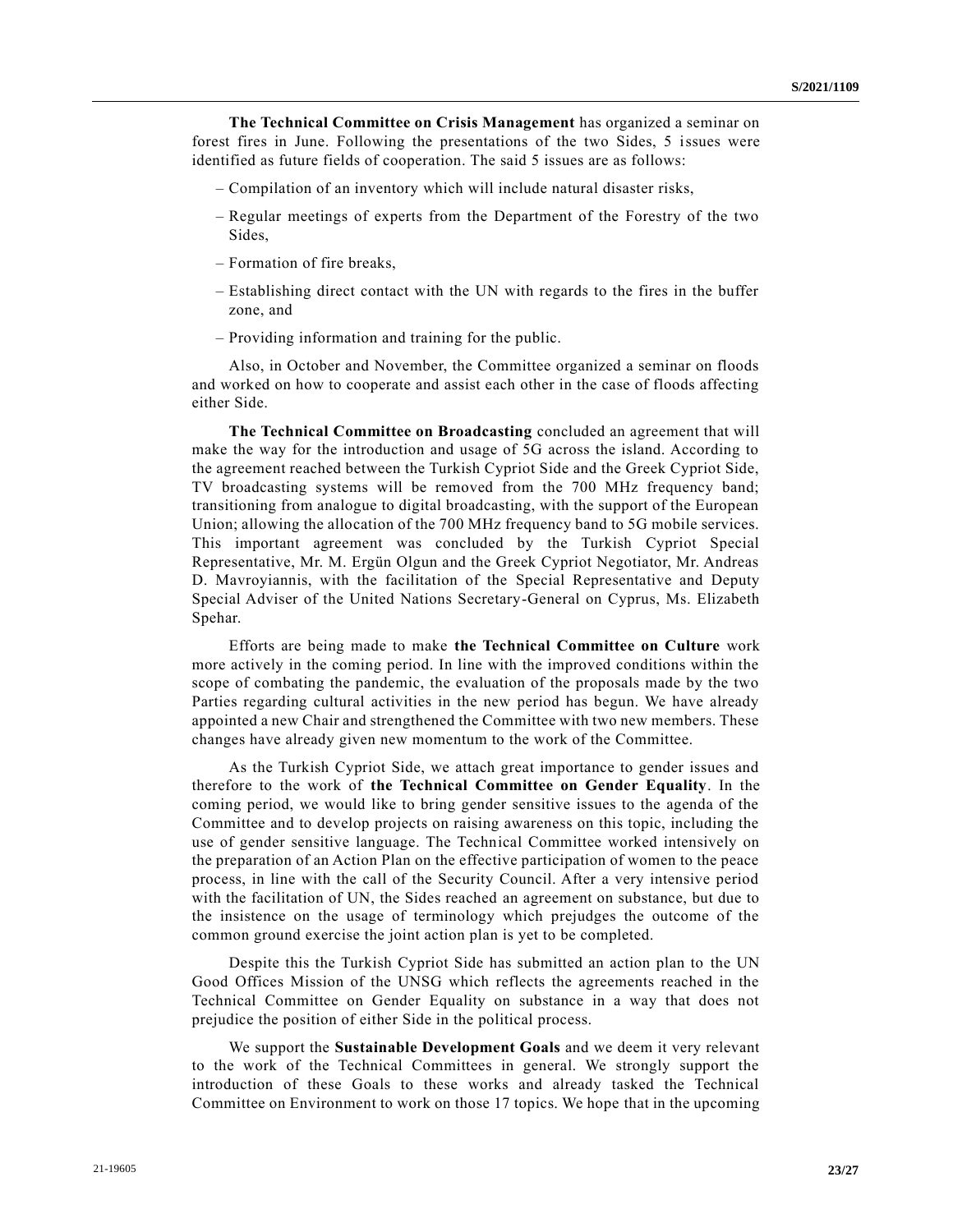**The Technical Committee on Crisis Management** has organized a seminar on forest fires in June. Following the presentations of the two Sides, 5 issues were identified as future fields of cooperation. The said 5 issues are as follows:

- Compilation of an inventory which will include natural disaster risks,
- Regular meetings of experts from the Department of the Forestry of the two Sides,
- Formation of fire breaks,
- Establishing direct contact with the UN with regards to the fires in the buffer zone, and
- Providing information and training for the public.

Also, in October and November, the Committee organized a seminar on floods and worked on how to cooperate and assist each other in the case of floods affecting either Side.

**The Technical Committee on Broadcasting** concluded an agreement that will make the way for the introduction and usage of 5G across the island. According to the agreement reached between the Turkish Cypriot Side and the Greek Cypriot Side, TV broadcasting systems will be removed from the 700 MHz frequency band; transitioning from analogue to digital broadcasting, with the support of the European Union; allowing the allocation of the 700 MHz frequency band to 5G mobile services. This important agreement was concluded by the Turkish Cypriot Special Representative, Mr. M. Ergün Olgun and the Greek Cypriot Negotiator, Mr. Andreas D. Mavroyiannis, with the facilitation of the Special Representative and Deputy Special Adviser of the United Nations Secretary-General on Cyprus, Ms. Elizabeth Spehar.

Efforts are being made to make **the Technical Committee on Culture** work more actively in the coming period. In line with the improved conditions within the scope of combating the pandemic, the evaluation of the proposals made by the two Parties regarding cultural activities in the new period has begun. We have already appointed a new Chair and strengthened the Committee with two new members. These changes have already given new momentum to the work of the Committee.

As the Turkish Cypriot Side, we attach great importance to gender issues and therefore to the work of **the Technical Committee on Gender Equality**. In the coming period, we would like to bring gender sensitive issues to the agenda of the Committee and to develop projects on raising awareness on this topic, including the use of gender sensitive language. The Technical Committee worked intensively on the preparation of an Action Plan on the effective participation of women to the peace process, in line with the call of the Security Council. After a very intensive period with the facilitation of UN, the Sides reached an agreement on substance, but due to the insistence on the usage of terminology which prejudges the outcome of the common ground exercise the joint action plan is yet to be completed.

Despite this the Turkish Cypriot Side has submitted an action plan to the UN Good Offices Mission of the UNSG which reflects the agreements reached in the Technical Committee on Gender Equality on substance in a way that does not prejudice the position of either Side in the political process.

We support the **Sustainable Development Goals** and we deem it very relevant to the work of the Technical Committees in general. We strongly support the introduction of these Goals to these works and already tasked the Technical Committee on Environment to work on those 17 topics. We hope that in the upcoming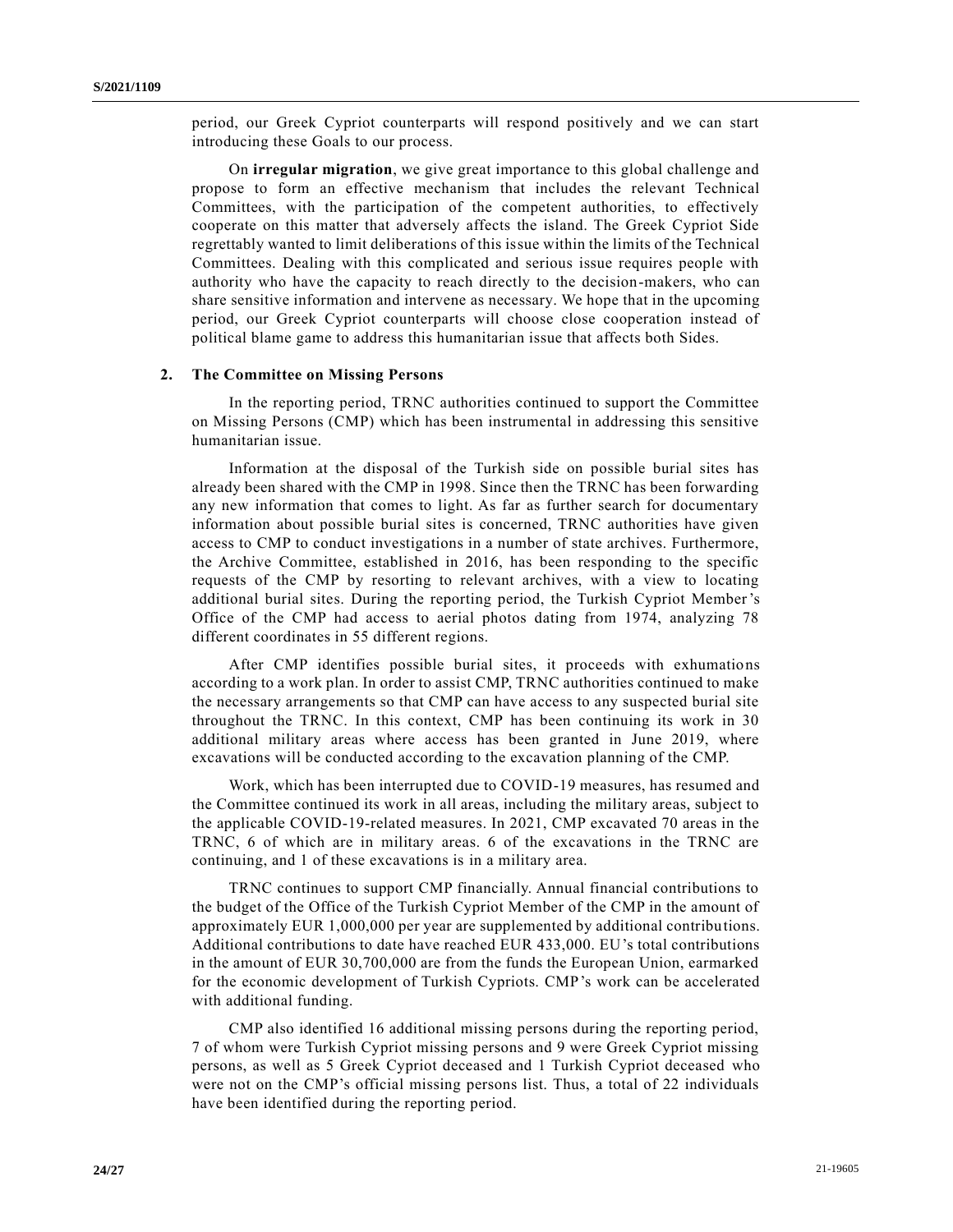period, our Greek Cypriot counterparts will respond positively and we can start introducing these Goals to our process.

On **irregular migration**, we give great importance to this global challenge and propose to form an effective mechanism that includes the relevant Technical Committees, with the participation of the competent authorities, to effectively cooperate on this matter that adversely affects the island. The Greek Cypriot Side regrettably wanted to limit deliberations of this issue within the limits of the Technical Committees. Dealing with this complicated and serious issue requires people with authority who have the capacity to reach directly to the decision-makers, who can share sensitive information and intervene as necessary. We hope that in the upcoming period, our Greek Cypriot counterparts will choose close cooperation instead of political blame game to address this humanitarian issue that affects both Sides.

#### **2. The Committee on Missing Persons**

In the reporting period, TRNC authorities continued to support the Committee on Missing Persons (CMP) which has been instrumental in addressing this sensitive humanitarian issue.

Information at the disposal of the Turkish side on possible burial sites has already been shared with the CMP in 1998. Since then the TRNC has been forwarding any new information that comes to light. As far as further search for documentary information about possible burial sites is concerned, TRNC authorities have given access to CMP to conduct investigations in a number of state archives. Furthermore, the Archive Committee, established in 2016, has been responding to the specific requests of the CMP by resorting to relevant archives, with a view to locating additional burial sites. During the reporting period, the Turkish Cypriot Member's Office of the CMP had access to aerial photos dating from 1974, analyzing 78 different coordinates in 55 different regions.

After CMP identifies possible burial sites, it proceeds with exhumations according to a work plan. In order to assist CMP, TRNC authorities continued to make the necessary arrangements so that CMP can have access to any suspected burial site throughout the TRNC. In this context, CMP has been continuing its work in 30 additional military areas where access has been granted in June 2019, where excavations will be conducted according to the excavation planning of the CMP.

Work, which has been interrupted due to COVID-19 measures, has resumed and the Committee continued its work in all areas, including the military areas, subject to the applicable COVID-19-related measures. In 2021, CMP excavated 70 areas in the TRNC, 6 of which are in military areas. 6 of the excavations in the TRNC are continuing, and 1 of these excavations is in a military area.

TRNC continues to support CMP financially. Annual financial contributions to the budget of the Office of the Turkish Cypriot Member of the CMP in the amount of approximately EUR 1,000,000 per year are supplemented by additional contributions. Additional contributions to date have reached EUR 433,000. EU's total contributions in the amount of EUR 30,700,000 are from the funds the European Union, earmarked for the economic development of Turkish Cypriots. CMP's work can be accelerated with additional funding.

CMP also identified 16 additional missing persons during the reporting period, 7 of whom were Turkish Cypriot missing persons and 9 were Greek Cypriot missing persons, as well as 5 Greek Cypriot deceased and 1 Turkish Cypriot deceased who were not on the CMP's official missing persons list. Thus, a total of 22 individuals have been identified during the reporting period.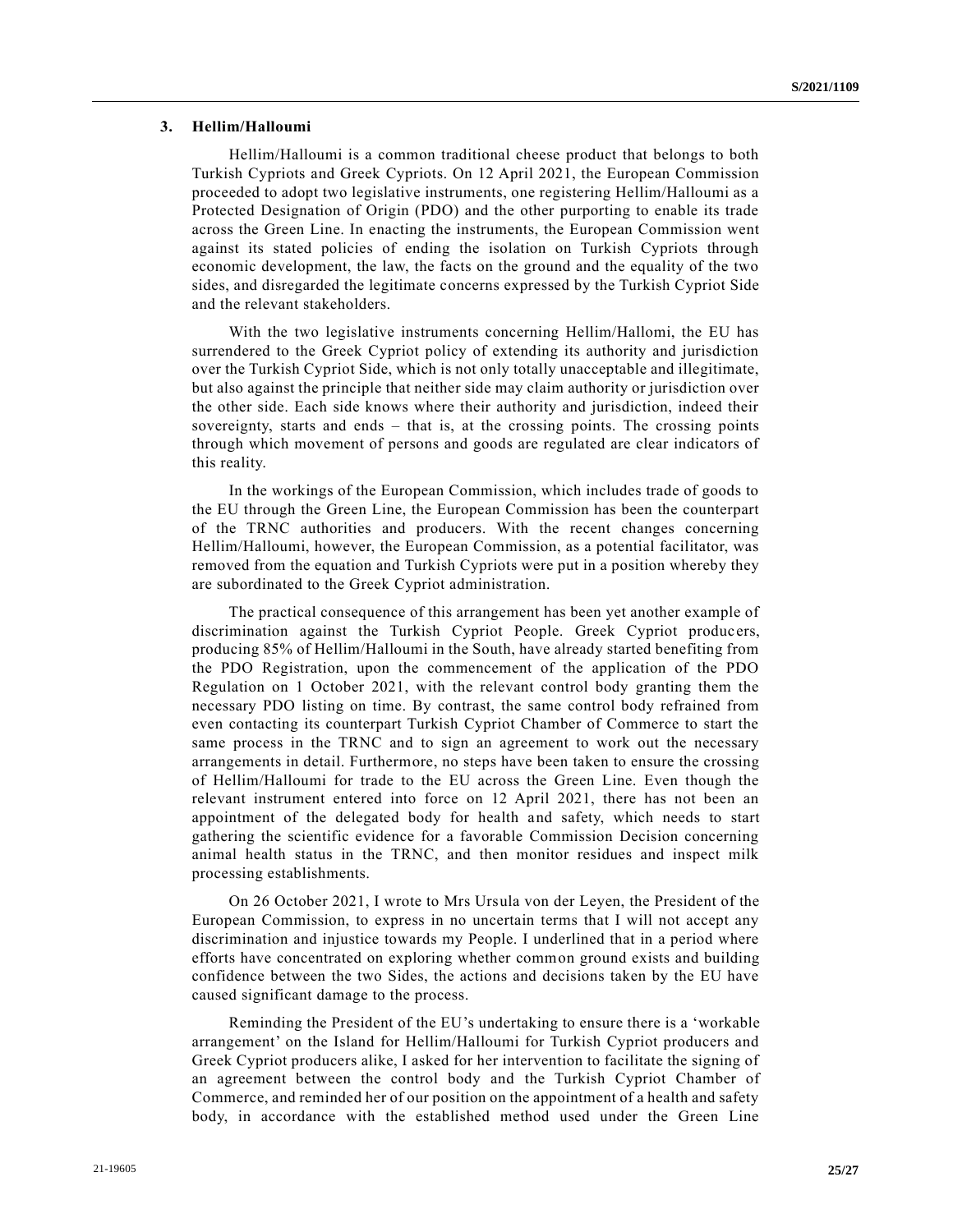#### **3. Hellim/Halloumi**

Hellim/Halloumi is a common traditional cheese product that belongs to both Turkish Cypriots and Greek Cypriots. On 12 April 2021, the European Commission proceeded to adopt two legislative instruments, one registering Hellim/Halloumi as a Protected Designation of Origin (PDO) and the other purporting to enable its trade across the Green Line. In enacting the instruments, the European Commission went against its stated policies of ending the isolation on Turkish Cypriots through economic development, the law, the facts on the ground and the equality of the two sides, and disregarded the legitimate concerns expressed by the Turkish Cypriot Side and the relevant stakeholders.

With the two legislative instruments concerning Hellim/Hallomi, the EU has surrendered to the Greek Cypriot policy of extending its authority and jurisdiction over the Turkish Cypriot Side, which is not only totally unacceptable and illegitimate, but also against the principle that neither side may claim authority or jurisdiction over the other side. Each side knows where their authority and jurisdiction, indeed their sovereignty, starts and ends – that is, at the crossing points. The crossing points through which movement of persons and goods are regulated are clear indicators of this reality.

In the workings of the European Commission, which includes trade of goods to the EU through the Green Line, the European Commission has been the counterpart of the TRNC authorities and producers. With the recent changes concerning Hellim/Halloumi, however, the European Commission, as a potential facilitator, was removed from the equation and Turkish Cypriots were put in a position whereby they are subordinated to the Greek Cypriot administration.

The practical consequence of this arrangement has been yet another example of discrimination against the Turkish Cypriot People. Greek Cypriot producers, producing 85% of Hellim/Halloumi in the South, have already started benefiting from the PDO Registration, upon the commencement of the application of the PDO Regulation on 1 October 2021, with the relevant control body granting them the necessary PDO listing on time. By contrast, the same control body refrained from even contacting its counterpart Turkish Cypriot Chamber of Commerce to start the same process in the TRNC and to sign an agreement to work out the necessary arrangements in detail. Furthermore, no steps have been taken to ensure the crossing of Hellim/Halloumi for trade to the EU across the Green Line. Even though the relevant instrument entered into force on 12 April 2021, there has not been an appointment of the delegated body for health and safety, which needs to start gathering the scientific evidence for a favorable Commission Decision concerning animal health status in the TRNC, and then monitor residues and inspect milk processing establishments.

On 26 October 2021, I wrote to Mrs Ursula von der Leyen, the President of the European Commission, to express in no uncertain terms that I will not accept any discrimination and injustice towards my People. I underlined that in a period where efforts have concentrated on exploring whether common ground exists and building confidence between the two Sides, the actions and decisions taken by the EU have caused significant damage to the process.

Reminding the President of the EU's undertaking to ensure there is a 'workable arrangement' on the Island for Hellim/Halloumi for Turkish Cypriot producers and Greek Cypriot producers alike, I asked for her intervention to facilitate the signing of an agreement between the control body and the Turkish Cypriot Chamber of Commerce, and reminded her of our position on the appointment of a health and safety body, in accordance with the established method used under the Green Line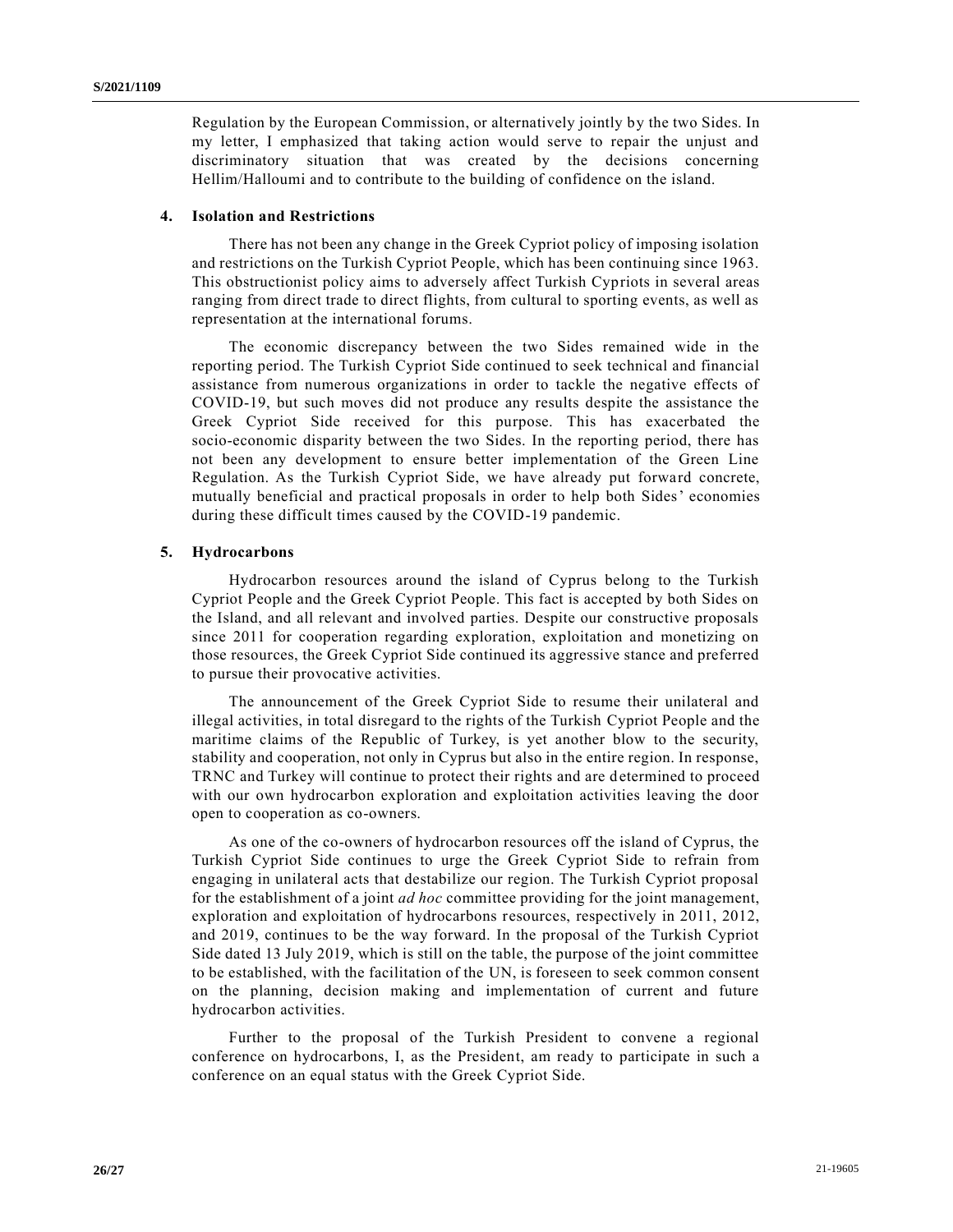Regulation by the European Commission, or alternatively jointly by the two Sides. In my letter, I emphasized that taking action would serve to repair the unjust and discriminatory situation that was created by the decisions concerning Hellim/Halloumi and to contribute to the building of confidence on the island.

### **4. Isolation and Restrictions**

There has not been any change in the Greek Cypriot policy of imposing isolation and restrictions on the Turkish Cypriot People, which has been continuing since 1963. This obstructionist policy aims to adversely affect Turkish Cypriots in several areas ranging from direct trade to direct flights, from cultural to sporting events, as well as representation at the international forums.

The economic discrepancy between the two Sides remained wide in the reporting period. The Turkish Cypriot Side continued to seek technical and financial assistance from numerous organizations in order to tackle the negative effects of COVID-19, but such moves did not produce any results despite the assistance the Greek Cypriot Side received for this purpose. This has exacerbated the socio-economic disparity between the two Sides. In the reporting period, there has not been any development to ensure better implementation of the Green Line Regulation. As the Turkish Cypriot Side, we have already put forward concrete, mutually beneficial and practical proposals in order to help both Sides' economies during these difficult times caused by the COVID-19 pandemic.

#### **5. Hydrocarbons**

Hydrocarbon resources around the island of Cyprus belong to the Turkish Cypriot People and the Greek Cypriot People. This fact is accepted by both Sides on the Island, and all relevant and involved parties. Despite our constructive proposals since 2011 for cooperation regarding exploration, exploitation and monetizing on those resources, the Greek Cypriot Side continued its aggressive stance and preferred to pursue their provocative activities.

The announcement of the Greek Cypriot Side to resume their unilateral and illegal activities, in total disregard to the rights of the Turkish Cypriot People and the maritime claims of the Republic of Turkey, is yet another blow to the security, stability and cooperation, not only in Cyprus but also in the entire region. In response, TRNC and Turkey will continue to protect their rights and are determined to proceed with our own hydrocarbon exploration and exploitation activities leaving the door open to cooperation as co-owners.

As one of the co-owners of hydrocarbon resources off the island of Cyprus, the Turkish Cypriot Side continues to urge the Greek Cypriot Side to refrain from engaging in unilateral acts that destabilize our region. The Turkish Cypriot proposal for the establishment of a joint *ad hoc* committee providing for the joint management, exploration and exploitation of hydrocarbons resources, respectively in 2011, 2012, and 2019, continues to be the way forward. In the proposal of the Turkish Cypriot Side dated 13 July 2019, which is still on the table, the purpose of the joint committee to be established, with the facilitation of the UN, is foreseen to seek common consent on the planning, decision making and implementation of current and future hydrocarbon activities.

Further to the proposal of the Turkish President to convene a regional conference on hydrocarbons, I, as the President, am ready to participate in such a conference on an equal status with the Greek Cypriot Side.